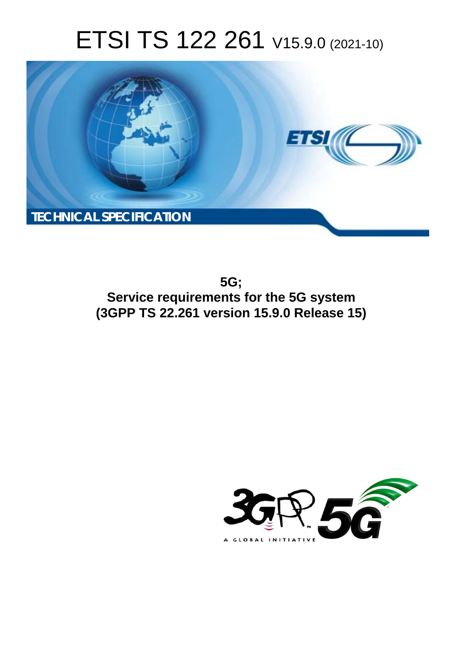# ETSI TS 122 261 V15.9.0 (2021-10)



**5G; Service requirements for the 5G system (3GPP TS 22.261 version 15.9.0 Release 15)** 

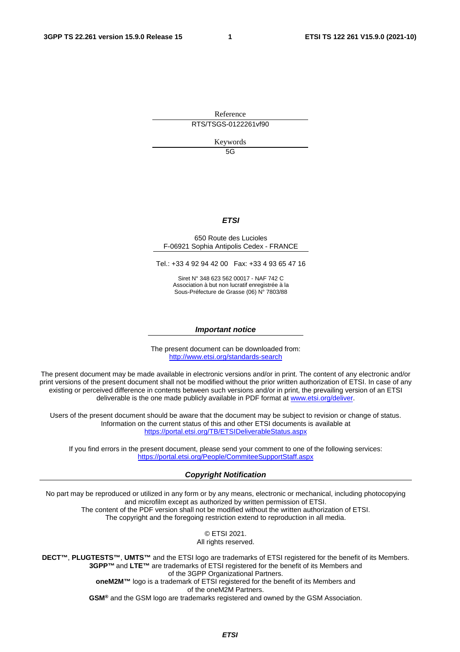Reference

RTS/TSGS-0122261vf90

Keywords

5G

#### *ETSI*

#### 650 Route des Lucioles F-06921 Sophia Antipolis Cedex - FRANCE

Tel.: +33 4 92 94 42 00 Fax: +33 4 93 65 47 16

Siret N° 348 623 562 00017 - NAF 742 C Association à but non lucratif enregistrée à la Sous-Préfecture de Grasse (06) N° 7803/88

#### *Important notice*

The present document can be downloaded from: <http://www.etsi.org/standards-search>

The present document may be made available in electronic versions and/or in print. The content of any electronic and/or print versions of the present document shall not be modified without the prior written authorization of ETSI. In case of any existing or perceived difference in contents between such versions and/or in print, the prevailing version of an ETSI deliverable is the one made publicly available in PDF format at [www.etsi.org/deliver](http://www.etsi.org/deliver).

Users of the present document should be aware that the document may be subject to revision or change of status. Information on the current status of this and other ETSI documents is available at <https://portal.etsi.org/TB/ETSIDeliverableStatus.aspx>

If you find errors in the present document, please send your comment to one of the following services: <https://portal.etsi.org/People/CommiteeSupportStaff.aspx>

#### *Copyright Notification*

No part may be reproduced or utilized in any form or by any means, electronic or mechanical, including photocopying and microfilm except as authorized by written permission of ETSI. The content of the PDF version shall not be modified without the written authorization of ETSI. The copyright and the foregoing restriction extend to reproduction in all media.

> © ETSI 2021. All rights reserved.

**DECT™**, **PLUGTESTS™**, **UMTS™** and the ETSI logo are trademarks of ETSI registered for the benefit of its Members. **3GPP™** and **LTE™** are trademarks of ETSI registered for the benefit of its Members and of the 3GPP Organizational Partners. **oneM2M™** logo is a trademark of ETSI registered for the benefit of its Members and of the oneM2M Partners. **GSM®** and the GSM logo are trademarks registered and owned by the GSM Association.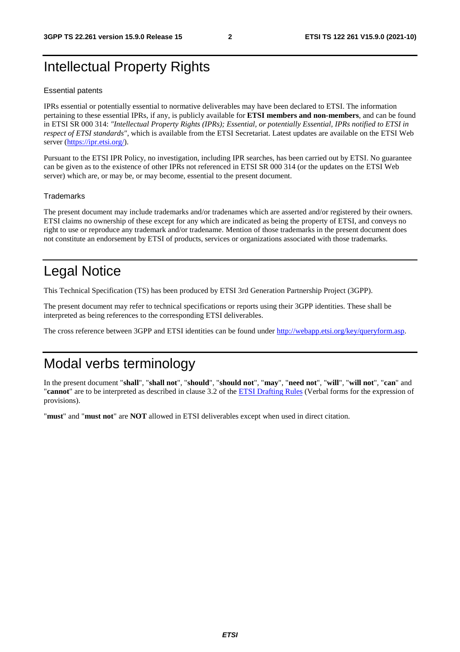## Intellectual Property Rights

#### Essential patents

IPRs essential or potentially essential to normative deliverables may have been declared to ETSI. The information pertaining to these essential IPRs, if any, is publicly available for **ETSI members and non-members**, and can be found in ETSI SR 000 314: *"Intellectual Property Rights (IPRs); Essential, or potentially Essential, IPRs notified to ETSI in respect of ETSI standards"*, which is available from the ETSI Secretariat. Latest updates are available on the ETSI Web server [\(https://ipr.etsi.org/](https://ipr.etsi.org/)).

Pursuant to the ETSI IPR Policy, no investigation, including IPR searches, has been carried out by ETSI. No guarantee can be given as to the existence of other IPRs not referenced in ETSI SR 000 314 (or the updates on the ETSI Web server) which are, or may be, or may become, essential to the present document.

#### **Trademarks**

The present document may include trademarks and/or tradenames which are asserted and/or registered by their owners. ETSI claims no ownership of these except for any which are indicated as being the property of ETSI, and conveys no right to use or reproduce any trademark and/or tradename. Mention of those trademarks in the present document does not constitute an endorsement by ETSI of products, services or organizations associated with those trademarks.

## Legal Notice

This Technical Specification (TS) has been produced by ETSI 3rd Generation Partnership Project (3GPP).

The present document may refer to technical specifications or reports using their 3GPP identities. These shall be interpreted as being references to the corresponding ETSI deliverables.

The cross reference between 3GPP and ETSI identities can be found under<http://webapp.etsi.org/key/queryform.asp>.

## Modal verbs terminology

In the present document "**shall**", "**shall not**", "**should**", "**should not**", "**may**", "**need not**", "**will**", "**will not**", "**can**" and "**cannot**" are to be interpreted as described in clause 3.2 of the [ETSI Drafting Rules](https://portal.etsi.org/Services/editHelp!/Howtostart/ETSIDraftingRules.aspx) (Verbal forms for the expression of provisions).

"**must**" and "**must not**" are **NOT** allowed in ETSI deliverables except when used in direct citation.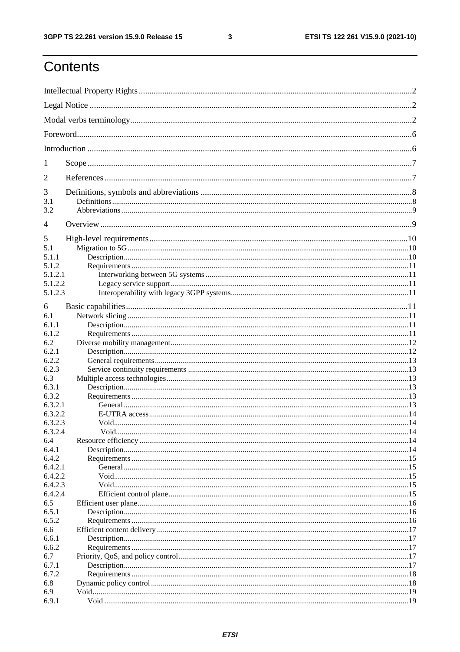ETSI TS 122 261 V15.9.0 (2021-10)

## Contents

| 1<br>2<br>3<br>3.1<br>3.2<br>4<br>5<br>5.1<br>5.1.1<br>5.1.2<br>5.1.2.1<br>5.1.2.2 |  |
|------------------------------------------------------------------------------------|--|
|                                                                                    |  |
|                                                                                    |  |
|                                                                                    |  |
|                                                                                    |  |
|                                                                                    |  |
|                                                                                    |  |
|                                                                                    |  |
|                                                                                    |  |
|                                                                                    |  |
|                                                                                    |  |
|                                                                                    |  |
|                                                                                    |  |
|                                                                                    |  |
|                                                                                    |  |
|                                                                                    |  |
| 5.1.2.3                                                                            |  |
| 6                                                                                  |  |
| 6.1                                                                                |  |
| 6.1.1                                                                              |  |
| 6.1.2                                                                              |  |
| 6.2                                                                                |  |
| 6.2.1                                                                              |  |
| 6.2.2                                                                              |  |
| 6.2.3                                                                              |  |
| 6.3                                                                                |  |
| 6.3.1                                                                              |  |
| 6.3.2                                                                              |  |
| 6.3.2.1                                                                            |  |
| 6.3.2.2                                                                            |  |
| 6.3.2.3                                                                            |  |
| 6.3.2.4                                                                            |  |
| 6.4                                                                                |  |
| 6.4.1                                                                              |  |
| 6.4.2                                                                              |  |
| 6.4.2.1                                                                            |  |
| 6.4.2.2                                                                            |  |
| 6.4.2.3                                                                            |  |
| 6.4.2.4                                                                            |  |
| 6.5                                                                                |  |
| 6.5.1                                                                              |  |
| 6.5.2                                                                              |  |
| 6.6                                                                                |  |
| 6.6.1                                                                              |  |
| 6.6.2                                                                              |  |
| 6.7                                                                                |  |
| 6.7.1                                                                              |  |
| 6.7.2                                                                              |  |
| 6.8                                                                                |  |
| 6.9                                                                                |  |
| 6.9.1                                                                              |  |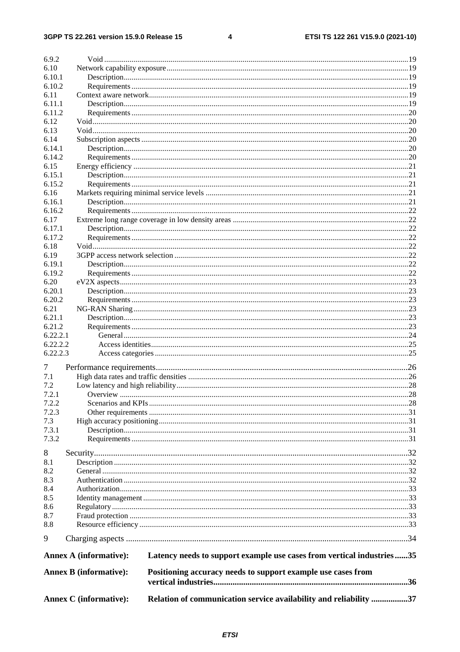$\overline{\mathbf{4}}$ 

| 6.9.2    |                               |                                                                       |  |
|----------|-------------------------------|-----------------------------------------------------------------------|--|
| 6.10     |                               |                                                                       |  |
| 6.10.1   |                               |                                                                       |  |
| 6.10.2   |                               |                                                                       |  |
| 6.11     |                               |                                                                       |  |
| 6.11.1   |                               |                                                                       |  |
| 6.11.2   |                               |                                                                       |  |
| 6.12     |                               |                                                                       |  |
| 6.13     |                               |                                                                       |  |
| 6.14     |                               |                                                                       |  |
| 6.14.1   |                               |                                                                       |  |
| 6.14.2   |                               |                                                                       |  |
| 6.15     |                               |                                                                       |  |
| 6.15.1   |                               |                                                                       |  |
| 6.15.2   |                               |                                                                       |  |
| 6.16     |                               |                                                                       |  |
| 6.16.1   |                               |                                                                       |  |
| 6.16.2   |                               |                                                                       |  |
| 6.17     |                               |                                                                       |  |
| 6.17.1   |                               |                                                                       |  |
| 6.17.2   |                               |                                                                       |  |
| 6.18     |                               |                                                                       |  |
| 6.19     |                               |                                                                       |  |
| 6.19.1   |                               |                                                                       |  |
| 6.19.2   |                               |                                                                       |  |
| 6.20     |                               |                                                                       |  |
| 6.20.1   |                               |                                                                       |  |
| 6.20.2   |                               |                                                                       |  |
| 6.21     |                               |                                                                       |  |
| 6.21.1   |                               |                                                                       |  |
| 6.21.2   |                               |                                                                       |  |
| 6.22.2.1 |                               |                                                                       |  |
| 6.22.2.2 |                               |                                                                       |  |
| 6.22.2.3 |                               |                                                                       |  |
| 7        |                               |                                                                       |  |
| 7.1      |                               |                                                                       |  |
| 7.2      |                               |                                                                       |  |
| 7.2.1    |                               |                                                                       |  |
| 7.2.2    |                               |                                                                       |  |
| 7.2.3    |                               |                                                                       |  |
| 7.3      |                               |                                                                       |  |
| 7.3.1    |                               |                                                                       |  |
| 7.3.2    |                               |                                                                       |  |
|          |                               |                                                                       |  |
| 8        |                               |                                                                       |  |
| 8.1      |                               |                                                                       |  |
| 8.2      |                               |                                                                       |  |
| 8.3      |                               |                                                                       |  |
| 8.4      |                               |                                                                       |  |
| 8.5      |                               |                                                                       |  |
| 8.6      |                               |                                                                       |  |
| 8.7      |                               |                                                                       |  |
| 8.8      |                               |                                                                       |  |
| 9        |                               |                                                                       |  |
|          | <b>Annex A (informative):</b> | Latency needs to support example use cases from vertical industries35 |  |
|          | <b>Annex B</b> (informative): | Positioning accuracy needs to support example use cases from          |  |
|          |                               |                                                                       |  |
|          |                               |                                                                       |  |
|          | <b>Annex C</b> (informative): | Relation of communication service availability and reliability 37     |  |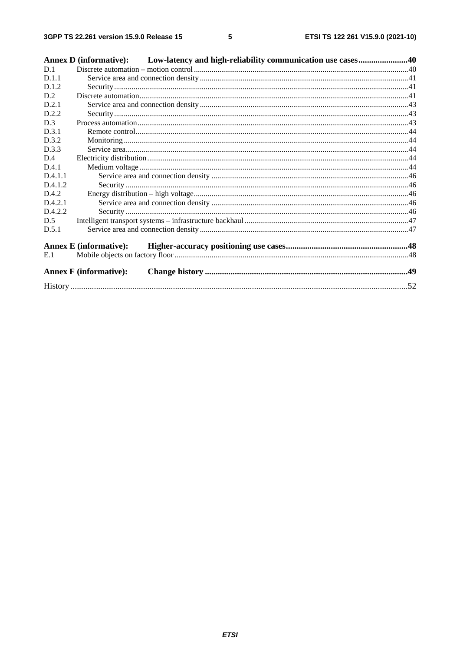|         | Annex D (informative): Low-latency and high-reliability communication use cases40 |  |
|---------|-----------------------------------------------------------------------------------|--|
| D.1     |                                                                                   |  |
| D.1.1   |                                                                                   |  |
| D.1.2   |                                                                                   |  |
| D.2     |                                                                                   |  |
| D.2.1   |                                                                                   |  |
| D.2.2   |                                                                                   |  |
| D.3     |                                                                                   |  |
| D.3.1   |                                                                                   |  |
| D.3.2   |                                                                                   |  |
| D.3.3   |                                                                                   |  |
| D.4     |                                                                                   |  |
| D.4.1   |                                                                                   |  |
| D.4.1.1 |                                                                                   |  |
| D.4.1.2 |                                                                                   |  |
| D.4.2   |                                                                                   |  |
| D.4.2.1 |                                                                                   |  |
| D.4.2.2 |                                                                                   |  |
| D.5     |                                                                                   |  |
| D.5.1   |                                                                                   |  |
|         | <b>Annex E</b> (informative):                                                     |  |
| E.1     |                                                                                   |  |
|         | <b>Annex F</b> (informative):                                                     |  |
|         |                                                                                   |  |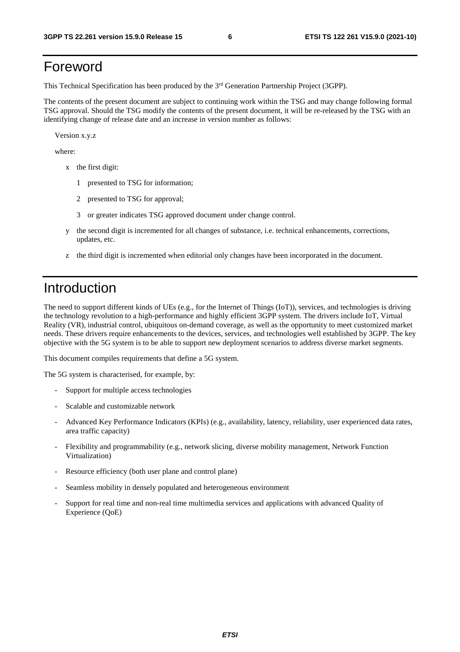## Foreword

This Technical Specification has been produced by the 3<sup>rd</sup> Generation Partnership Project (3GPP).

The contents of the present document are subject to continuing work within the TSG and may change following formal TSG approval. Should the TSG modify the contents of the present document, it will be re-released by the TSG with an identifying change of release date and an increase in version number as follows:

Version x.y.z

where:

- x the first digit:
	- 1 presented to TSG for information;
	- 2 presented to TSG for approval;
	- 3 or greater indicates TSG approved document under change control.
- y the second digit is incremented for all changes of substance, i.e. technical enhancements, corrections, updates, etc.
- z the third digit is incremented when editorial only changes have been incorporated in the document.

## Introduction

The need to support different kinds of UEs (e.g., for the Internet of Things (IoT)), services, and technologies is driving the technology revolution to a high-performance and highly efficient 3GPP system. The drivers include IoT, Virtual Reality (VR), industrial control, ubiquitous on-demand coverage, as well as the opportunity to meet customized market needs. These drivers require enhancements to the devices, services, and technologies well established by 3GPP. The key objective with the 5G system is to be able to support new deployment scenarios to address diverse market segments.

This document compiles requirements that define a 5G system.

The 5G system is characterised, for example, by:

- Support for multiple access technologies
- Scalable and customizable network
- Advanced Key Performance Indicators (KPIs) (e.g., availability, latency, reliability, user experienced data rates, area traffic capacity)
- Flexibility and programmability (e.g., network slicing, diverse mobility management, Network Function Virtualization)
- Resource efficiency (both user plane and control plane)
- Seamless mobility in densely populated and heterogeneous environment
- Support for real time and non-real time multimedia services and applications with advanced Quality of Experience (QoE)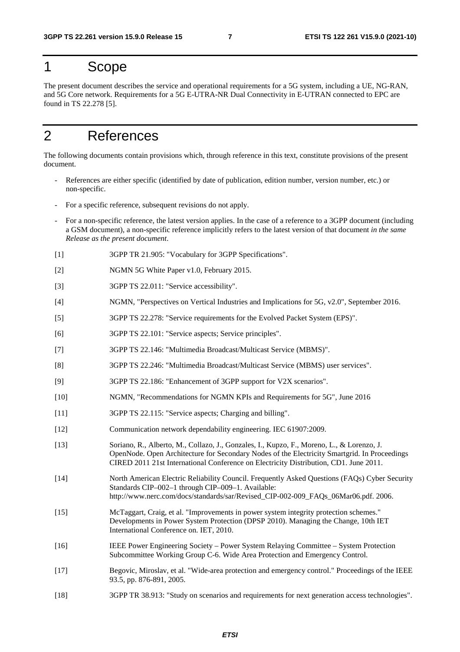## 1 Scope

The present document describes the service and operational requirements for a 5G system, including a UE, NG-RAN, and 5G Core network. Requirements for a 5G E-UTRA-NR Dual Connectivity in E-UTRAN connected to EPC are found in TS 22.278 [5].

## 2 References

The following documents contain provisions which, through reference in this text, constitute provisions of the present document.

- References are either specific (identified by date of publication, edition number, version number, etc.) or non-specific.
- For a specific reference, subsequent revisions do not apply.
- For a non-specific reference, the latest version applies. In the case of a reference to a 3GPP document (including a GSM document), a non-specific reference implicitly refers to the latest version of that document *in the same Release as the present document*.
- [1] 3GPP TR 21.905: "Vocabulary for 3GPP Specifications".
- [2] NGMN 5G White Paper v1.0, February 2015.
- [3] 3GPP TS 22.011: "Service accessibility".
- [4] NGMN, "Perspectives on Vertical Industries and Implications for 5G, v2.0", September 2016.
- [5] 3GPP TS 22.278: "Service requirements for the Evolved Packet System (EPS)".
- [6] 3GPP TS 22.101: "Service aspects; Service principles".
- [7] 3GPP TS 22.146: "Multimedia Broadcast/Multicast Service (MBMS)".
- [8] 3GPP TS 22.246: "Multimedia Broadcast/Multicast Service (MBMS) user services".
- [9] 3GPP TS 22.186: "Enhancement of 3GPP support for V2X scenarios".
- [10] NGMN, "Recommendations for NGMN KPIs and Requirements for 5G", June 2016
- [11] 3GPP TS 22.115: "Service aspects; Charging and billing".
- [12] Communication network dependability engineering. IEC 61907:2009.
- [13] Soriano, R., Alberto, M., Collazo, J., Gonzales, I., Kupzo, F., Moreno, L., & Lorenzo, J. OpenNode. Open Architecture for Secondary Nodes of the Electricity Smartgrid. In Proceedings CIRED 2011 21st International Conference on Electricity Distribution, CD1. June 2011.
- [14] North American Electric Reliability Council. Frequently Asked Questions (FAQs) Cyber Security Standards CIP–002–1 through CIP–009–1. Available: http://www.nerc.com/docs/standards/sar/Revised\_CIP-002-009\_FAQs\_06Mar06.pdf. 2006.
- [15] McTaggart, Craig, et al. "Improvements in power system integrity protection schemes." Developments in Power System Protection (DPSP 2010). Managing the Change, 10th IET International Conference on. IET, 2010.
- [16] IEEE Power Engineering Society Power System Relaying Committee System Protection Subcommittee Working Group C-6. Wide Area Protection and Emergency Control.
- [17] Begovic, Miroslav, et al. "Wide-area protection and emergency control." Proceedings of the IEEE 93.5, pp. 876-891, 2005.
- [18] 3GPP TR 38.913: "Study on scenarios and requirements for next generation access technologies".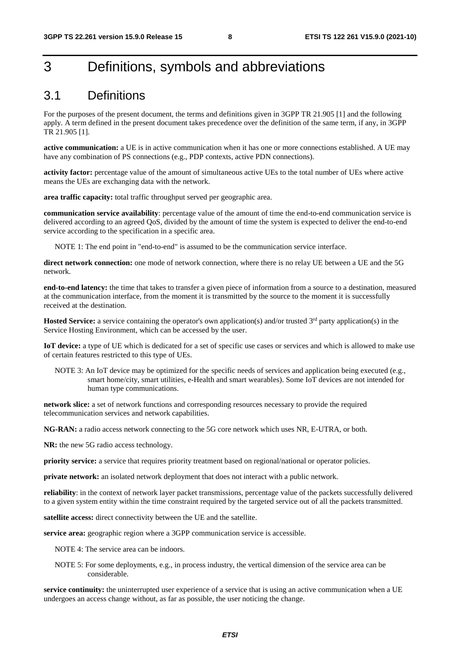## 3 Definitions, symbols and abbreviations

### 3.1 Definitions

For the purposes of the present document, the terms and definitions given in 3GPP TR 21.905 [1] and the following apply. A term defined in the present document takes precedence over the definition of the same term, if any, in 3GPP TR 21.905 [1].

**active communication:** a UE is in active communication when it has one or more connections established. A UE may have any combination of PS connections (e.g., PDP contexts, active PDN connections).

**activity factor:** percentage value of the amount of simultaneous active UEs to the total number of UEs where active means the UEs are exchanging data with the network.

**area traffic capacity:** total traffic throughput served per geographic area.

**communication service availability**: percentage value of the amount of time the end-to-end communication service is delivered according to an agreed QoS, divided by the amount of time the system is expected to deliver the end-to-end service according to the specification in a specific area.

NOTE 1: The end point in "end-to-end" is assumed to be the communication service interface.

direct network connection: one mode of network connection, where there is no relay UE between a UE and the 5G network.

**end-to-end latency:** the time that takes to transfer a given piece of information from a source to a destination, measured at the communication interface, from the moment it is transmitted by the source to the moment it is successfully received at the destination.

**Hosted Service:** a service containing the operator's own application(s) and/or trusted 3<sup>rd</sup> party application(s) in the Service Hosting Environment, which can be accessed by the user.

**IoT device:** a type of UE which is dedicated for a set of specific use cases or services and which is allowed to make use of certain features restricted to this type of UEs.

NOTE 3: An IoT device may be optimized for the specific needs of services and application being executed (e.g., smart home/city, smart utilities, e-Health and smart wearables). Some IoT devices are not intended for human type communications.

**network slice:** a set of network functions and corresponding resources necessary to provide the required telecommunication services and network capabilities.

**NG-RAN:** a radio access network connecting to the 5G core network which uses NR, E-UTRA, or both.

**NR:** the new 5G radio access technology.

**priority service:** a service that requires priority treatment based on regional/national or operator policies.

**private network:** an isolated network deployment that does not interact with a public network.

**reliability**: in the context of network layer packet transmissions, percentage value of the packets successfully delivered to a given system entity within the time constraint required by the targeted service out of all the packets transmitted.

**satellite access:** direct connectivity between the UE and the satellite.

**service area:** geographic region where a 3GPP communication service is accessible.

NOTE 4: The service area can be indoors.

NOTE 5: For some deployments, e.g., in process industry, the vertical dimension of the service area can be considerable.

**service continuity:** the uninterrupted user experience of a service that is using an active communication when a UE undergoes an access change without, as far as possible, the user noticing the change.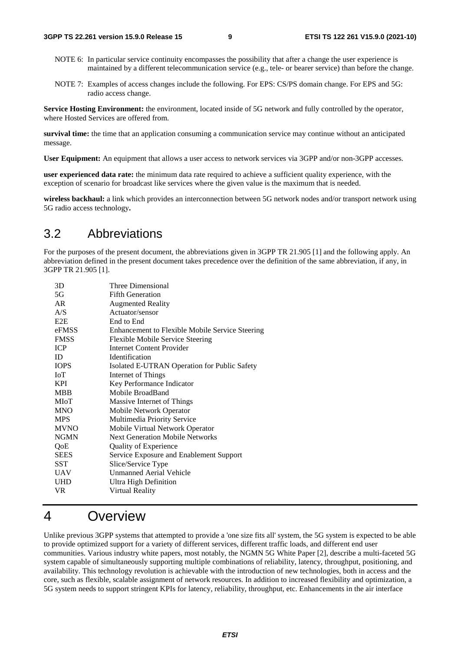- NOTE 6: In particular service continuity encompasses the possibility that after a change the user experience is maintained by a different telecommunication service (e.g., tele- or bearer service) than before the change.
- NOTE 7: Examples of access changes include the following. For EPS: CS/PS domain change. For EPS and 5G: radio access change.

**Service Hosting Environment:** the environment, located inside of 5G network and fully controlled by the operator, where Hosted Services are offered from.

**survival time:** the time that an application consuming a communication service may continue without an anticipated message.

**User Equipment:** An equipment that allows a user access to network services via 3GPP and/or non-3GPP accesses.

**user experienced data rate:** the minimum data rate required to achieve a sufficient quality experience, with the exception of scenario for broadcast like services where the given value is the maximum that is needed.

**wireless backhaul:** a link which provides an interconnection between 5G network nodes and/or transport network using 5G radio access technology**.** 

### 3.2 Abbreviations

For the purposes of the present document, the abbreviations given in 3GPP TR 21.905 [1] and the following apply. An abbreviation defined in the present document takes precedence over the definition of the same abbreviation, if any, in 3GPP TR 21.905 [1].

| 5G<br><b>Fifth Generation</b><br>AR<br><b>Augmented Reality</b><br>A/S<br>Actuator/sensor<br>E2E<br>End to End<br>eFMSS<br><b>Enhancement to Flexible Mobile Service Steering</b><br><b>FMSS</b><br>Flexible Mobile Service Steering<br><b>ICP</b><br>Internet Content Provider<br>ID<br><b>Identification</b><br><b>IOPS</b><br>Isolated E-UTRAN Operation for Public Safety<br><b>IoT</b><br>Internet of Things<br>Key Performance Indicator<br><b>KPI</b><br>Mobile BroadBand<br><b>MBB</b><br>MIoT<br>Massive Internet of Things<br><b>MNO</b><br>Mobile Network Operator<br>Multimedia Priority Service<br><b>MPS</b><br><b>MVNO</b><br>Mobile Virtual Network Operator<br><b>NGMN</b><br><b>Next Generation Mobile Networks</b><br><b>Quality of Experience</b><br>QoE<br><b>SEES</b><br>Service Exposure and Enablement Support<br>SST<br>Slice/Service Type<br><b>Unmanned Aerial Vehicle</b><br>UAV<br>UHD<br>Ultra High Definition<br>VR<br>Virtual Reality | 3D | Three Dimensional |
|-----------------------------------------------------------------------------------------------------------------------------------------------------------------------------------------------------------------------------------------------------------------------------------------------------------------------------------------------------------------------------------------------------------------------------------------------------------------------------------------------------------------------------------------------------------------------------------------------------------------------------------------------------------------------------------------------------------------------------------------------------------------------------------------------------------------------------------------------------------------------------------------------------------------------------------------------------------------------|----|-------------------|
|                                                                                                                                                                                                                                                                                                                                                                                                                                                                                                                                                                                                                                                                                                                                                                                                                                                                                                                                                                       |    |                   |
|                                                                                                                                                                                                                                                                                                                                                                                                                                                                                                                                                                                                                                                                                                                                                                                                                                                                                                                                                                       |    |                   |
|                                                                                                                                                                                                                                                                                                                                                                                                                                                                                                                                                                                                                                                                                                                                                                                                                                                                                                                                                                       |    |                   |
|                                                                                                                                                                                                                                                                                                                                                                                                                                                                                                                                                                                                                                                                                                                                                                                                                                                                                                                                                                       |    |                   |
|                                                                                                                                                                                                                                                                                                                                                                                                                                                                                                                                                                                                                                                                                                                                                                                                                                                                                                                                                                       |    |                   |
|                                                                                                                                                                                                                                                                                                                                                                                                                                                                                                                                                                                                                                                                                                                                                                                                                                                                                                                                                                       |    |                   |
|                                                                                                                                                                                                                                                                                                                                                                                                                                                                                                                                                                                                                                                                                                                                                                                                                                                                                                                                                                       |    |                   |
|                                                                                                                                                                                                                                                                                                                                                                                                                                                                                                                                                                                                                                                                                                                                                                                                                                                                                                                                                                       |    |                   |
|                                                                                                                                                                                                                                                                                                                                                                                                                                                                                                                                                                                                                                                                                                                                                                                                                                                                                                                                                                       |    |                   |
|                                                                                                                                                                                                                                                                                                                                                                                                                                                                                                                                                                                                                                                                                                                                                                                                                                                                                                                                                                       |    |                   |
|                                                                                                                                                                                                                                                                                                                                                                                                                                                                                                                                                                                                                                                                                                                                                                                                                                                                                                                                                                       |    |                   |
|                                                                                                                                                                                                                                                                                                                                                                                                                                                                                                                                                                                                                                                                                                                                                                                                                                                                                                                                                                       |    |                   |
|                                                                                                                                                                                                                                                                                                                                                                                                                                                                                                                                                                                                                                                                                                                                                                                                                                                                                                                                                                       |    |                   |
|                                                                                                                                                                                                                                                                                                                                                                                                                                                                                                                                                                                                                                                                                                                                                                                                                                                                                                                                                                       |    |                   |
|                                                                                                                                                                                                                                                                                                                                                                                                                                                                                                                                                                                                                                                                                                                                                                                                                                                                                                                                                                       |    |                   |
|                                                                                                                                                                                                                                                                                                                                                                                                                                                                                                                                                                                                                                                                                                                                                                                                                                                                                                                                                                       |    |                   |
|                                                                                                                                                                                                                                                                                                                                                                                                                                                                                                                                                                                                                                                                                                                                                                                                                                                                                                                                                                       |    |                   |
|                                                                                                                                                                                                                                                                                                                                                                                                                                                                                                                                                                                                                                                                                                                                                                                                                                                                                                                                                                       |    |                   |
|                                                                                                                                                                                                                                                                                                                                                                                                                                                                                                                                                                                                                                                                                                                                                                                                                                                                                                                                                                       |    |                   |
|                                                                                                                                                                                                                                                                                                                                                                                                                                                                                                                                                                                                                                                                                                                                                                                                                                                                                                                                                                       |    |                   |
|                                                                                                                                                                                                                                                                                                                                                                                                                                                                                                                                                                                                                                                                                                                                                                                                                                                                                                                                                                       |    |                   |
|                                                                                                                                                                                                                                                                                                                                                                                                                                                                                                                                                                                                                                                                                                                                                                                                                                                                                                                                                                       |    |                   |
|                                                                                                                                                                                                                                                                                                                                                                                                                                                                                                                                                                                                                                                                                                                                                                                                                                                                                                                                                                       |    |                   |

### 4 Overview

Unlike previous 3GPP systems that attempted to provide a 'one size fits all' system, the 5G system is expected to be able to provide optimized support for a variety of different services, different traffic loads, and different end user communities. Various industry white papers, most notably, the NGMN 5G White Paper [2], describe a multi-faceted 5G system capable of simultaneously supporting multiple combinations of reliability, latency, throughput, positioning, and availability. This technology revolution is achievable with the introduction of new technologies, both in access and the core, such as flexible, scalable assignment of network resources. In addition to increased flexibility and optimization, a 5G system needs to support stringent KPIs for latency, reliability, throughput, etc. Enhancements in the air interface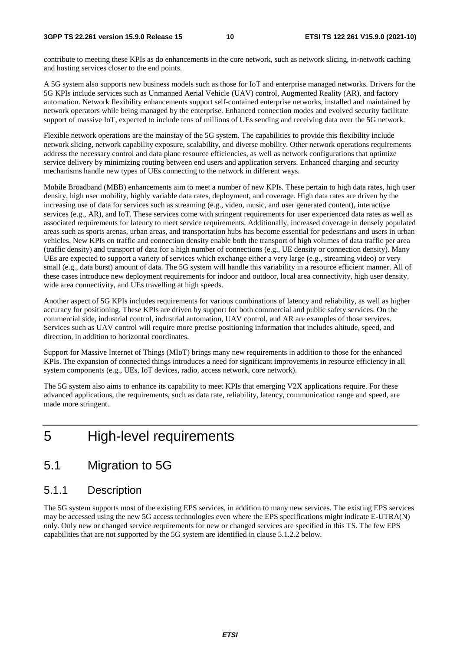contribute to meeting these KPIs as do enhancements in the core network, such as network slicing, in-network caching and hosting services closer to the end points.

A 5G system also supports new business models such as those for IoT and enterprise managed networks. Drivers for the 5G KPIs include services such as Unmanned Aerial Vehicle (UAV) control, Augmented Reality (AR), and factory automation. Network flexibility enhancements support self-contained enterprise networks, installed and maintained by network operators while being managed by the enterprise. Enhanced connection modes and evolved security facilitate support of massive IoT, expected to include tens of millions of UEs sending and receiving data over the 5G network.

Flexible network operations are the mainstay of the 5G system. The capabilities to provide this flexibility include network slicing, network capability exposure, scalability, and diverse mobility. Other network operations requirements address the necessary control and data plane resource efficiencies, as well as network configurations that optimize service delivery by minimizing routing between end users and application servers. Enhanced charging and security mechanisms handle new types of UEs connecting to the network in different ways.

Mobile Broadband (MBB) enhancements aim to meet a number of new KPIs. These pertain to high data rates, high user density, high user mobility, highly variable data rates, deployment, and coverage. High data rates are driven by the increasing use of data for services such as streaming (e.g., video, music, and user generated content), interactive services (e.g., AR), and IoT. These services come with stringent requirements for user experienced data rates as well as associated requirements for latency to meet service requirements. Additionally, increased coverage in densely populated areas such as sports arenas, urban areas, and transportation hubs has become essential for pedestrians and users in urban vehicles. New KPIs on traffic and connection density enable both the transport of high volumes of data traffic per area (traffic density) and transport of data for a high number of connections (e.g., UE density or connection density). Many UEs are expected to support a variety of services which exchange either a very large (e.g., streaming video) or very small (e.g., data burst) amount of data. The 5G system will handle this variability in a resource efficient manner. All of these cases introduce new deployment requirements for indoor and outdoor, local area connectivity, high user density, wide area connectivity, and UEs travelling at high speeds.

Another aspect of 5G KPIs includes requirements for various combinations of latency and reliability, as well as higher accuracy for positioning. These KPIs are driven by support for both commercial and public safety services. On the commercial side, industrial control, industrial automation, UAV control, and AR are examples of those services. Services such as UAV control will require more precise positioning information that includes altitude, speed, and direction, in addition to horizontal coordinates.

Support for Massive Internet of Things (MIoT) brings many new requirements in addition to those for the enhanced KPIs. The expansion of connected things introduces a need for significant improvements in resource efficiency in all system components (e.g., UEs, IoT devices, radio, access network, core network).

The 5G system also aims to enhance its capability to meet KPIs that emerging V2X applications require. For these advanced applications, the requirements, such as data rate, reliability, latency, communication range and speed, are made more stringent.

### 5 High-level requirements

### 5.1 Migration to 5G

### 5.1.1 Description

The 5G system supports most of the existing EPS services, in addition to many new services. The existing EPS services may be accessed using the new 5G access technologies even where the EPS specifications might indicate E-UTRA(N) only. Only new or changed service requirements for new or changed services are specified in this TS. The few EPS capabilities that are not supported by the 5G system are identified in clause 5.1.2.2 below.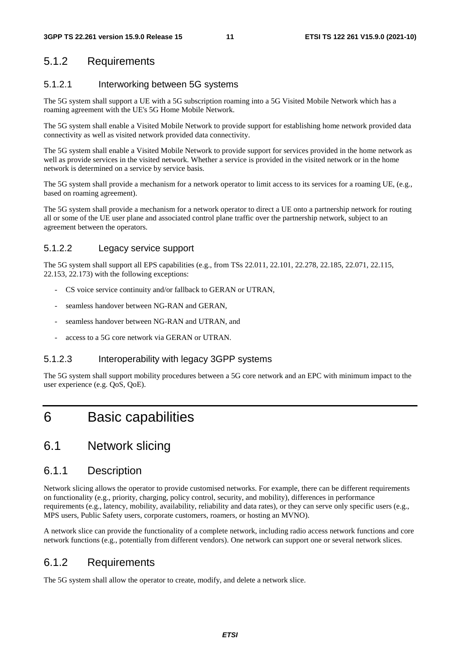### 5.1.2 Requirements

#### 5.1.2.1 Interworking between 5G systems

The 5G system shall support a UE with a 5G subscription roaming into a 5G Visited Mobile Network which has a roaming agreement with the UE's 5G Home Mobile Network.

The 5G system shall enable a Visited Mobile Network to provide support for establishing home network provided data connectivity as well as visited network provided data connectivity.

The 5G system shall enable a Visited Mobile Network to provide support for services provided in the home network as well as provide services in the visited network. Whether a service is provided in the visited network or in the home network is determined on a service by service basis.

The 5G system shall provide a mechanism for a network operator to limit access to its services for a roaming UE, (e.g., based on roaming agreement).

The 5G system shall provide a mechanism for a network operator to direct a UE onto a partnership network for routing all or some of the UE user plane and associated control plane traffic over the partnership network, subject to an agreement between the operators.

#### 5.1.2.2 Legacy service support

The 5G system shall support all EPS capabilities (e.g., from TSs 22.011, 22.101, 22.278, 22.185, 22.071, 22.115, 22.153, 22.173) with the following exceptions:

- CS voice service continuity and/or fallback to GERAN or UTRAN,
- seamless handover between NG-RAN and GERAN,
- seamless handover between NG-RAN and UTRAN, and
- access to a 5G core network via GERAN or UTRAN.

#### 5.1.2.3 Interoperability with legacy 3GPP systems

The 5G system shall support mobility procedures between a 5G core network and an EPC with minimum impact to the user experience (e.g. QoS, QoE).

## 6 Basic capabilities

### 6.1 Network slicing

#### 6.1.1 Description

Network slicing allows the operator to provide customised networks. For example, there can be different requirements on functionality (e.g., priority, charging, policy control, security, and mobility), differences in performance requirements (e.g., latency, mobility, availability, reliability and data rates), or they can serve only specific users (e.g., MPS users, Public Safety users, corporate customers, roamers, or hosting an MVNO).

A network slice can provide the functionality of a complete network, including radio access network functions and core network functions (e.g., potentially from different vendors). One network can support one or several network slices.

### 6.1.2 Requirements

The 5G system shall allow the operator to create, modify, and delete a network slice.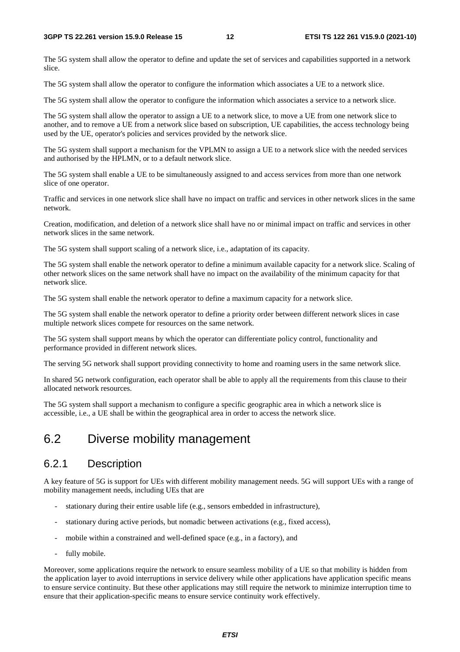The 5G system shall allow the operator to define and update the set of services and capabilities supported in a network slice.

The 5G system shall allow the operator to configure the information which associates a UE to a network slice.

The 5G system shall allow the operator to configure the information which associates a service to a network slice.

The 5G system shall allow the operator to assign a UE to a network slice, to move a UE from one network slice to another, and to remove a UE from a network slice based on subscription, UE capabilities, the access technology being used by the UE, operator's policies and services provided by the network slice.

The 5G system shall support a mechanism for the VPLMN to assign a UE to a network slice with the needed services and authorised by the HPLMN, or to a default network slice.

The 5G system shall enable a UE to be simultaneously assigned to and access services from more than one network slice of one operator.

Traffic and services in one network slice shall have no impact on traffic and services in other network slices in the same network.

Creation, modification, and deletion of a network slice shall have no or minimal impact on traffic and services in other network slices in the same network.

The 5G system shall support scaling of a network slice, i.e., adaptation of its capacity.

The 5G system shall enable the network operator to define a minimum available capacity for a network slice. Scaling of other network slices on the same network shall have no impact on the availability of the minimum capacity for that network slice.

The 5G system shall enable the network operator to define a maximum capacity for a network slice.

The 5G system shall enable the network operator to define a priority order between different network slices in case multiple network slices compete for resources on the same network.

The 5G system shall support means by which the operator can differentiate policy control, functionality and performance provided in different network slices.

The serving 5G network shall support providing connectivity to home and roaming users in the same network slice.

In shared 5G network configuration, each operator shall be able to apply all the requirements from this clause to their allocated network resources.

The 5G system shall support a mechanism to configure a specific geographic area in which a network slice is accessible, i.e., a UE shall be within the geographical area in order to access the network slice.

### 6.2 Diverse mobility management

### 6.2.1 Description

A key feature of 5G is support for UEs with different mobility management needs. 5G will support UEs with a range of mobility management needs, including UEs that are

- stationary during their entire usable life (e.g., sensors embedded in infrastructure),
- stationary during active periods, but nomadic between activations (e.g., fixed access),
- mobile within a constrained and well-defined space (e.g., in a factory), and
- fully mobile.

Moreover, some applications require the network to ensure seamless mobility of a UE so that mobility is hidden from the application layer to avoid interruptions in service delivery while other applications have application specific means to ensure service continuity. But these other applications may still require the network to minimize interruption time to ensure that their application-specific means to ensure service continuity work effectively.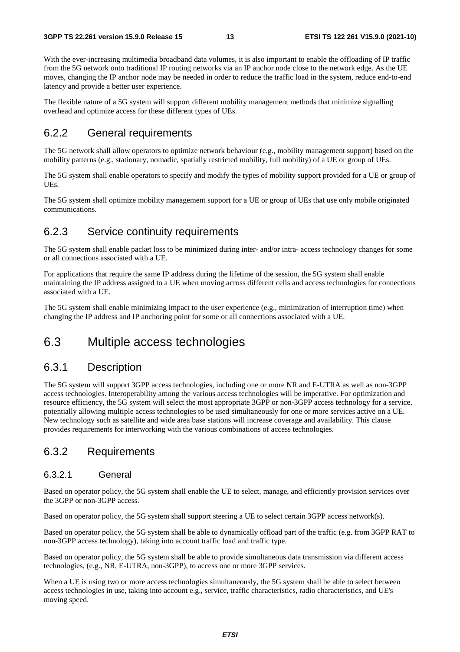With the ever-increasing multimedia broadband data volumes, it is also important to enable the offloading of IP traffic from the 5G network onto traditional IP routing networks via an IP anchor node close to the network edge. As the UE moves, changing the IP anchor node may be needed in order to reduce the traffic load in the system, reduce end-to-end latency and provide a better user experience.

The flexible nature of a 5G system will support different mobility management methods that minimize signalling overhead and optimize access for these different types of UEs.

#### 6.2.2 General requirements

The 5G network shall allow operators to optimize network behaviour (e.g., mobility management support) based on the mobility patterns (e.g., stationary, nomadic, spatially restricted mobility, full mobility) of a UE or group of UEs.

The 5G system shall enable operators to specify and modify the types of mobility support provided for a UE or group of UEs.

The 5G system shall optimize mobility management support for a UE or group of UEs that use only mobile originated communications.

### 6.2.3 Service continuity requirements

The 5G system shall enable packet loss to be minimized during inter- and/or intra- access technology changes for some or all connections associated with a UE.

For applications that require the same IP address during the lifetime of the session, the 5G system shall enable maintaining the IP address assigned to a UE when moving across different cells and access technologies for connections associated with a UE.

The 5G system shall enable minimizing impact to the user experience (e.g., minimization of interruption time) when changing the IP address and IP anchoring point for some or all connections associated with a UE.

### 6.3 Multiple access technologies

#### 6.3.1 Description

The 5G system will support 3GPP access technologies, including one or more NR and E-UTRA as well as non-3GPP access technologies. Interoperability among the various access technologies will be imperative. For optimization and resource efficiency, the 5G system will select the most appropriate 3GPP or non-3GPP access technology for a service, potentially allowing multiple access technologies to be used simultaneously for one or more services active on a UE. New technology such as satellite and wide area base stations will increase coverage and availability. This clause provides requirements for interworking with the various combinations of access technologies.

### 6.3.2 Requirements

#### 6.3.2.1 General

Based on operator policy, the 5G system shall enable the UE to select, manage, and efficiently provision services over the 3GPP or non-3GPP access.

Based on operator policy, the 5G system shall support steering a UE to select certain 3GPP access network(s).

Based on operator policy, the 5G system shall be able to dynamically offload part of the traffic (e.g. from 3GPP RAT to non-3GPP access technology), taking into account traffic load and traffic type.

Based on operator policy, the 5G system shall be able to provide simultaneous data transmission via different access technologies, (e.g., NR, E-UTRA, non-3GPP), to access one or more 3GPP services.

When a UE is using two or more access technologies simultaneously, the 5G system shall be able to select between access technologies in use, taking into account e.g., service, traffic characteristics, radio characteristics, and UE's moving speed.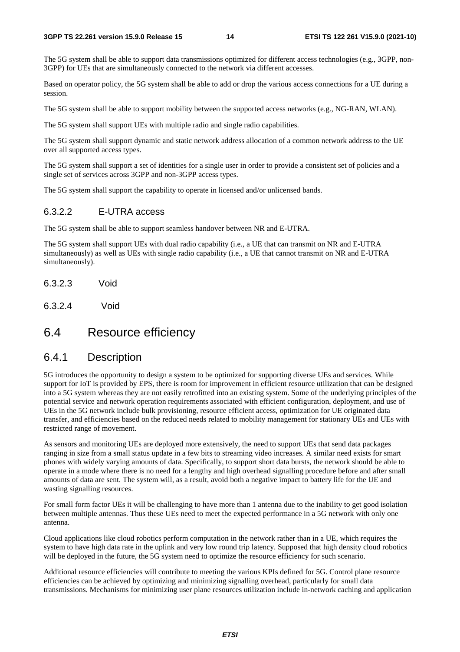The 5G system shall be able to support data transmissions optimized for different access technologies (e.g., 3GPP, non-3GPP) for UEs that are simultaneously connected to the network via different accesses.

Based on operator policy, the 5G system shall be able to add or drop the various access connections for a UE during a session.

The 5G system shall be able to support mobility between the supported access networks (e.g., NG-RAN, WLAN).

The 5G system shall support UEs with multiple radio and single radio capabilities.

The 5G system shall support dynamic and static network address allocation of a common network address to the UE over all supported access types.

The 5G system shall support a set of identities for a single user in order to provide a consistent set of policies and a single set of services across 3GPP and non-3GPP access types.

The 5G system shall support the capability to operate in licensed and/or unlicensed bands.

#### 6.3.2.2 E-UTRA access

The 5G system shall be able to support seamless handover between NR and E-UTRA.

The 5G system shall support UEs with dual radio capability (i.e., a UE that can transmit on NR and E-UTRA simultaneously) as well as UEs with single radio capability (i.e., a UE that cannot transmit on NR and E-UTRA simultaneously).

- 6.3.2.3 Void
- 6.3.2.4 Void

### 6.4 Resource efficiency

#### 6.4.1 Description

5G introduces the opportunity to design a system to be optimized for supporting diverse UEs and services. While support for IoT is provided by EPS, there is room for improvement in efficient resource utilization that can be designed into a 5G system whereas they are not easily retrofitted into an existing system. Some of the underlying principles of the potential service and network operation requirements associated with efficient configuration, deployment, and use of UEs in the 5G network include bulk provisioning, resource efficient access, optimization for UE originated data transfer, and efficiencies based on the reduced needs related to mobility management for stationary UEs and UEs with restricted range of movement.

As sensors and monitoring UEs are deployed more extensively, the need to support UEs that send data packages ranging in size from a small status update in a few bits to streaming video increases. A similar need exists for smart phones with widely varying amounts of data. Specifically, to support short data bursts, the network should be able to operate in a mode where there is no need for a lengthy and high overhead signalling procedure before and after small amounts of data are sent. The system will, as a result, avoid both a negative impact to battery life for the UE and wasting signalling resources.

For small form factor UEs it will be challenging to have more than 1 antenna due to the inability to get good isolation between multiple antennas. Thus these UEs need to meet the expected performance in a 5G network with only one antenna.

Cloud applications like cloud robotics perform computation in the network rather than in a UE, which requires the system to have high data rate in the uplink and very low round trip latency. Supposed that high density cloud robotics will be deployed in the future, the 5G system need to optimize the resource efficiency for such scenario.

Additional resource efficiencies will contribute to meeting the various KPIs defined for 5G. Control plane resource efficiencies can be achieved by optimizing and minimizing signalling overhead, particularly for small data transmissions. Mechanisms for minimizing user plane resources utilization include in-network caching and application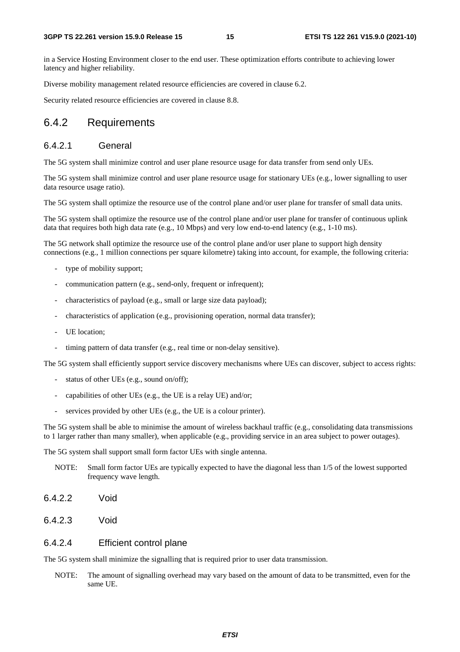in a Service Hosting Environment closer to the end user. These optimization efforts contribute to achieving lower latency and higher reliability.

Diverse mobility management related resource efficiencies are covered in clause 6.2.

Security related resource efficiencies are covered in clause 8.8.

#### 6.4.2 Requirements

#### 6.4.2.1 General

The 5G system shall minimize control and user plane resource usage for data transfer from send only UEs.

The 5G system shall minimize control and user plane resource usage for stationary UEs (e.g., lower signalling to user data resource usage ratio).

The 5G system shall optimize the resource use of the control plane and/or user plane for transfer of small data units.

The 5G system shall optimize the resource use of the control plane and/or user plane for transfer of continuous uplink data that requires both high data rate (e.g., 10 Mbps) and very low end-to-end latency (e.g., 1-10 ms).

The 5G network shall optimize the resource use of the control plane and/or user plane to support high density connections (e.g., 1 million connections per square kilometre) taking into account, for example, the following criteria:

- type of mobility support;
- communication pattern (e.g., send-only, frequent or infrequent);
- characteristics of payload (e.g., small or large size data payload);
- characteristics of application (e.g., provisioning operation, normal data transfer);
- UE location;
- timing pattern of data transfer (e.g., real time or non-delay sensitive).

The 5G system shall efficiently support service discovery mechanisms where UEs can discover, subject to access rights:

- status of other UEs (e.g., sound on/off);
- capabilities of other UEs (e.g., the UE is a relay UE) and/or;
- services provided by other UEs (e.g., the UE is a colour printer).

The 5G system shall be able to minimise the amount of wireless backhaul traffic (e.g., consolidating data transmissions to 1 larger rather than many smaller), when applicable (e.g., providing service in an area subject to power outages).

The 5G system shall support small form factor UEs with single antenna.

- NOTE: Small form factor UEs are typically expected to have the diagonal less than 1/5 of the lowest supported frequency wave length.
- 6.4.2.2 Void
- 6.4.2.3 Void

#### 6.4.2.4 Efficient control plane

The 5G system shall minimize the signalling that is required prior to user data transmission.

NOTE: The amount of signalling overhead may vary based on the amount of data to be transmitted, even for the same UE.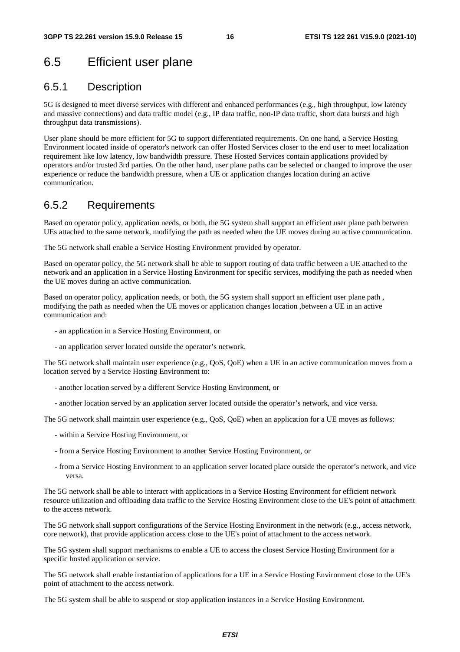### 6.5 Efficient user plane

#### 6.5.1 Description

5G is designed to meet diverse services with different and enhanced performances (e.g., high throughput, low latency and massive connections) and data traffic model (e.g., IP data traffic, non-IP data traffic, short data bursts and high throughput data transmissions).

User plane should be more efficient for 5G to support differentiated requirements. On one hand, a Service Hosting Environment located inside of operator's network can offer Hosted Services closer to the end user to meet localization requirement like low latency, low bandwidth pressure. These Hosted Services contain applications provided by operators and/or trusted 3rd parties. On the other hand, user plane paths can be selected or changed to improve the user experience or reduce the bandwidth pressure, when a UE or application changes location during an active communication.

#### 6.5.2 Requirements

Based on operator policy, application needs, or both, the 5G system shall support an efficient user plane path between UEs attached to the same network, modifying the path as needed when the UE moves during an active communication.

The 5G network shall enable a Service Hosting Environment provided by operator.

Based on operator policy, the 5G network shall be able to support routing of data traffic between a UE attached to the network and an application in a Service Hosting Environment for specific services, modifying the path as needed when the UE moves during an active communication.

Based on operator policy, application needs, or both, the 5G system shall support an efficient user plane path, modifying the path as needed when the UE moves or application changes location ,between a UE in an active communication and:

- an application in a Service Hosting Environment, or
- an application server located outside the operator's network.

The 5G network shall maintain user experience (e.g., QoS, QoE) when a UE in an active communication moves from a location served by a Service Hosting Environment to:

- another location served by a different Service Hosting Environment, or
- another location served by an application server located outside the operator's network, and vice versa.

The 5G network shall maintain user experience (e.g., QoS, QoE) when an application for a UE moves as follows:

- within a Service Hosting Environment, or
- from a Service Hosting Environment to another Service Hosting Environment, or
- from a Service Hosting Environment to an application server located place outside the operator's network, and vice versa.

The 5G network shall be able to interact with applications in a Service Hosting Environment for efficient network resource utilization and offloading data traffic to the Service Hosting Environment close to the UE's point of attachment to the access network.

The 5G network shall support configurations of the Service Hosting Environment in the network (e.g., access network, core network), that provide application access close to the UE's point of attachment to the access network.

The 5G system shall support mechanisms to enable a UE to access the closest Service Hosting Environment for a specific hosted application or service.

The 5G network shall enable instantiation of applications for a UE in a Service Hosting Environment close to the UE's point of attachment to the access network.

The 5G system shall be able to suspend or stop application instances in a Service Hosting Environment.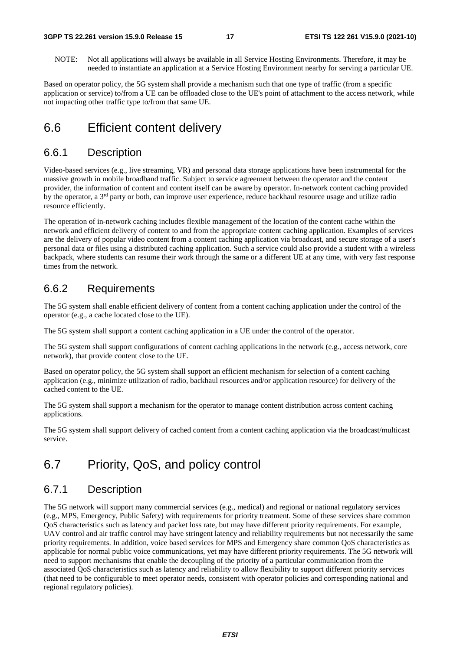NOTE: Not all applications will always be available in all Service Hosting Environments. Therefore, it may be needed to instantiate an application at a Service Hosting Environment nearby for serving a particular UE.

Based on operator policy, the 5G system shall provide a mechanism such that one type of traffic (from a specific application or service) to/from a UE can be offloaded close to the UE's point of attachment to the access network, while not impacting other traffic type to/from that same UE.

### 6.6 Efficient content delivery

#### 6.6.1 Description

Video-based services (e.g., live streaming, VR) and personal data storage applications have been instrumental for the massive growth in mobile broadband traffic. Subject to service agreement between the operator and the content provider, the information of content and content itself can be aware by operator. In-network content caching provided by the operator, a 3rd party or both, can improve user experience, reduce backhaul resource usage and utilize radio resource efficiently.

The operation of in-network caching includes flexible management of the location of the content cache within the network and efficient delivery of content to and from the appropriate content caching application. Examples of services are the delivery of popular video content from a content caching application via broadcast, and secure storage of a user's personal data or files using a distributed caching application. Such a service could also provide a student with a wireless backpack, where students can resume their work through the same or a different UE at any time, with very fast response times from the network.

#### 6.6.2 Requirements

The 5G system shall enable efficient delivery of content from a content caching application under the control of the operator (e.g., a cache located close to the UE).

The 5G system shall support a content caching application in a UE under the control of the operator.

The 5G system shall support configurations of content caching applications in the network (e.g., access network, core network), that provide content close to the UE.

Based on operator policy, the 5G system shall support an efficient mechanism for selection of a content caching application (e.g., minimize utilization of radio, backhaul resources and/or application resource) for delivery of the cached content to the UE.

The 5G system shall support a mechanism for the operator to manage content distribution across content caching applications.

The 5G system shall support delivery of cached content from a content caching application via the broadcast/multicast service.

### 6.7 Priority, QoS, and policy control

### 6.7.1 Description

The 5G network will support many commercial services (e.g., medical) and regional or national regulatory services (e.g., MPS, Emergency, Public Safety) with requirements for priority treatment. Some of these services share common QoS characteristics such as latency and packet loss rate, but may have different priority requirements. For example, UAV control and air traffic control may have stringent latency and reliability requirements but not necessarily the same priority requirements. In addition, voice based services for MPS and Emergency share common QoS characteristics as applicable for normal public voice communications, yet may have different priority requirements. The 5G network will need to support mechanisms that enable the decoupling of the priority of a particular communication from the associated QoS characteristics such as latency and reliability to allow flexibility to support different priority services (that need to be configurable to meet operator needs, consistent with operator policies and corresponding national and regional regulatory policies).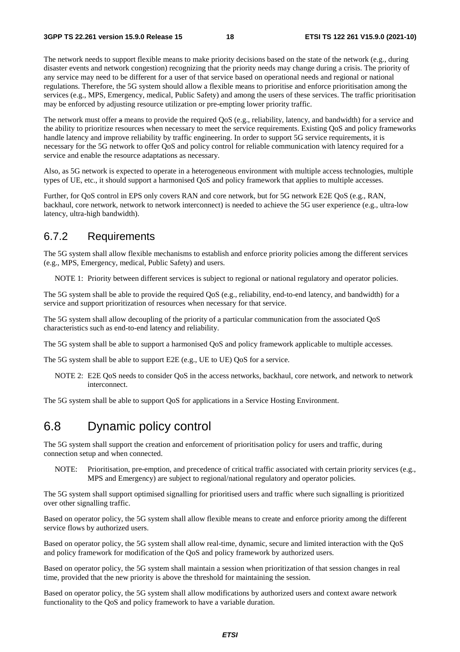The network needs to support flexible means to make priority decisions based on the state of the network (e.g., during disaster events and network congestion) recognizing that the priority needs may change during a crisis. The priority of any service may need to be different for a user of that service based on operational needs and regional or national regulations. Therefore, the 5G system should allow a flexible means to prioritise and enforce prioritisation among the services (e.g., MPS, Emergency, medical, Public Safety) and among the users of these services. The traffic prioritisation may be enforced by adjusting resource utilization or pre-empting lower priority traffic.

The network must offer a means to provide the required QoS (e.g., reliability, latency, and bandwidth) for a service and the ability to prioritize resources when necessary to meet the service requirements. Existing QoS and policy frameworks handle latency and improve reliability by traffic engineering. In order to support 5G service requirements, it is necessary for the 5G network to offer QoS and policy control for reliable communication with latency required for a service and enable the resource adaptations as necessary.

Also, as 5G network is expected to operate in a heterogeneous environment with multiple access technologies, multiple types of UE, etc., it should support a harmonised QoS and policy framework that applies to multiple accesses.

Further, for QoS control in EPS only covers RAN and core network, but for 5G network E2E QoS (e.g., RAN, backhaul, core network, network to network interconnect) is needed to achieve the 5G user experience (e.g., ultra-low latency, ultra-high bandwidth).

#### 6.7.2 Requirements

The 5G system shall allow flexible mechanisms to establish and enforce priority policies among the different services (e.g., MPS, Emergency, medical, Public Safety) and users.

NOTE 1: Priority between different services is subject to regional or national regulatory and operator policies.

The 5G system shall be able to provide the required QoS (e.g., reliability, end-to-end latency, and bandwidth) for a service and support prioritization of resources when necessary for that service.

The 5G system shall allow decoupling of the priority of a particular communication from the associated QoS characteristics such as end-to-end latency and reliability.

The 5G system shall be able to support a harmonised QoS and policy framework applicable to multiple accesses.

The 5G system shall be able to support E2E (e.g., UE to UE) QoS for a service.

NOTE 2: E2E QoS needs to consider QoS in the access networks, backhaul, core network, and network to network interconnect.

The 5G system shall be able to support QoS for applications in a Service Hosting Environment.

### 6.8 Dynamic policy control

The 5G system shall support the creation and enforcement of prioritisation policy for users and traffic, during connection setup and when connected.

NOTE: Prioritisation, pre-emption, and precedence of critical traffic associated with certain priority services (e.g., MPS and Emergency) are subject to regional/national regulatory and operator policies.

The 5G system shall support optimised signalling for prioritised users and traffic where such signalling is prioritized over other signalling traffic.

Based on operator policy, the 5G system shall allow flexible means to create and enforce priority among the different service flows by authorized users.

Based on operator policy, the 5G system shall allow real-time, dynamic, secure and limited interaction with the QoS and policy framework for modification of the QoS and policy framework by authorized users.

Based on operator policy, the 5G system shall maintain a session when prioritization of that session changes in real time, provided that the new priority is above the threshold for maintaining the session.

Based on operator policy, the 5G system shall allow modifications by authorized users and context aware network functionality to the QoS and policy framework to have a variable duration.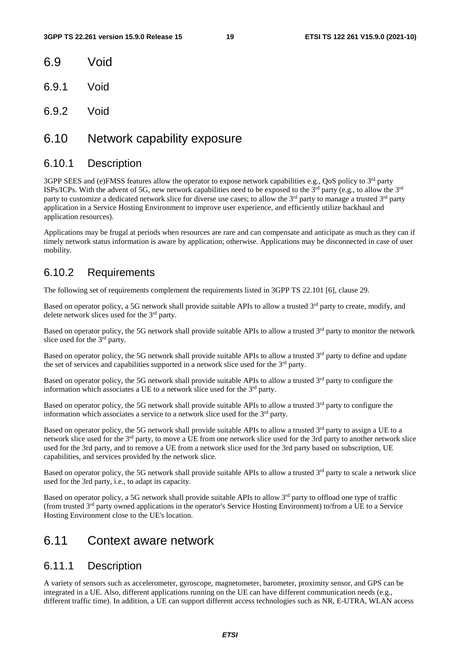- 6.9 Void
- 6.9.1 Void
- 6.9.2 Void

### 6.10 Network capability exposure

#### 6.10.1 Description

3GPP SEES and (e)FMSS features allow the operator to expose network capabilities e.g., QoS policy to 3<sup>rd</sup> party ISPs/ICPs. With the advent of 5G, new network capabilities need to be exposed to the  $3^{rd}$  party (e.g., to allow the  $3^{rd}$ party to customize a dedicated network slice for diverse use cases; to allow the  $3<sup>rd</sup>$  party to manage a trusted  $3<sup>rd</sup>$  party application in a Service Hosting Environment to improve user experience, and efficiently utilize backhaul and application resources).

Applications may be frugal at periods when resources are rare and can compensate and anticipate as much as they can if timely network status information is aware by application; otherwise. Applications may be disconnected in case of user mobility.

### 6.10.2 Requirements

The following set of requirements complement the requirements listed in 3GPP TS 22.101 [6], clause 29.

Based on operator policy, a 5G network shall provide suitable APIs to allow a trusted  $3<sup>rd</sup>$  party to create, modify, and delete network slices used for the 3<sup>rd</sup> party.

Based on operator policy, the 5G network shall provide suitable APIs to allow a trusted 3<sup>rd</sup> party to monitor the network slice used for the 3<sup>rd</sup> party.

Based on operator policy, the 5G network shall provide suitable APIs to allow a trusted 3<sup>rd</sup> party to define and update the set of services and capabilities supported in a network slice used for the  $3<sup>rd</sup>$  party.

Based on operator policy, the 5G network shall provide suitable APIs to allow a trusted  $3<sup>rd</sup>$  party to configure the information which associates a UE to a network slice used for the 3<sup>rd</sup> party.

Based on operator policy, the 5G network shall provide suitable APIs to allow a trusted  $3<sup>rd</sup>$  party to configure the information which associates a service to a network slice used for the  $3<sup>rd</sup>$  party.

Based on operator policy, the 5G network shall provide suitable APIs to allow a trusted  $3<sup>rd</sup>$  party to assign a UE to a network slice used for the 3rd party, to move a UE from one network slice used for the 3rd party to another network slice used for the 3rd party, and to remove a UE from a network slice used for the 3rd party based on subscription, UE capabilities, and services provided by the network slice.

Based on operator policy, the 5G network shall provide suitable APIs to allow a trusted  $3<sup>rd</sup>$  party to scale a network slice used for the 3rd party, i.e., to adapt its capacity.

Based on operator policy, a 5G network shall provide suitable APIs to allow 3rd party to offload one type of traffic (from trusted 3rd party owned applications in the operator's Service Hosting Environment) to/from a UE to a Service Hosting Environment close to the UE's location.

### 6.11 Context aware network

#### 6.11.1 Description

A variety of sensors such as accelerometer, gyroscope, magnetometer, barometer, proximity sensor, and GPS can be integrated in a UE. Also, different applications running on the UE can have different communication needs (e.g., different traffic time). In addition, a UE can support different access technologies such as NR, E-UTRA, WLAN access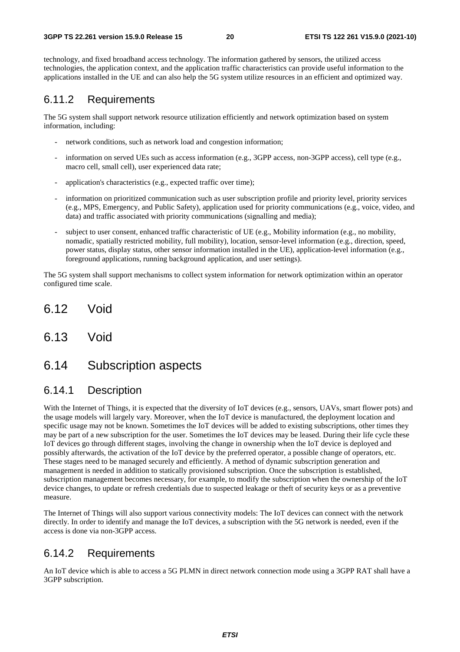technology, and fixed broadband access technology. The information gathered by sensors, the utilized access technologies, the application context, and the application traffic characteristics can provide useful information to the applications installed in the UE and can also help the 5G system utilize resources in an efficient and optimized way.

### 6.11.2 Requirements

The 5G system shall support network resource utilization efficiently and network optimization based on system information, including:

- network conditions, such as network load and congestion information;
- information on served UEs such as access information (e.g., 3GPP access, non-3GPP access), cell type (e.g., macro cell, small cell), user experienced data rate;
- application's characteristics (e.g., expected traffic over time);
- information on prioritized communication such as user subscription profile and priority level, priority services (e.g., MPS, Emergency, and Public Safety), application used for priority communications (e.g., voice, video, and data) and traffic associated with priority communications (signalling and media);
- subject to user consent, enhanced traffic characteristic of UE (e.g., Mobility information (e.g., no mobility, nomadic, spatially restricted mobility, full mobility), location, sensor-level information (e.g., direction, speed, power status, display status, other sensor information installed in the UE), application-level information (e.g., foreground applications, running background application, and user settings).

The 5G system shall support mechanisms to collect system information for network optimization within an operator configured time scale.

- 6.12 Void
- 6.13 Void

### 6.14 Subscription aspects

### 6.14.1 Description

With the Internet of Things, it is expected that the diversity of IoT devices (e.g., sensors, UAVs, smart flower pots) and the usage models will largely vary. Moreover, when the IoT device is manufactured, the deployment location and specific usage may not be known. Sometimes the IoT devices will be added to existing subscriptions, other times they may be part of a new subscription for the user. Sometimes the IoT devices may be leased. During their life cycle these IoT devices go through different stages, involving the change in ownership when the IoT device is deployed and possibly afterwards, the activation of the IoT device by the preferred operator, a possible change of operators, etc. These stages need to be managed securely and efficiently. A method of dynamic subscription generation and management is needed in addition to statically provisioned subscription. Once the subscription is established, subscription management becomes necessary, for example, to modify the subscription when the ownership of the IoT device changes, to update or refresh credentials due to suspected leakage or theft of security keys or as a preventive measure.

The Internet of Things will also support various connectivity models: The IoT devices can connect with the network directly. In order to identify and manage the IoT devices, a subscription with the 5G network is needed, even if the access is done via non-3GPP access.

### 6.14.2 Requirements

An IoT device which is able to access a 5G PLMN in direct network connection mode using a 3GPP RAT shall have a 3GPP subscription.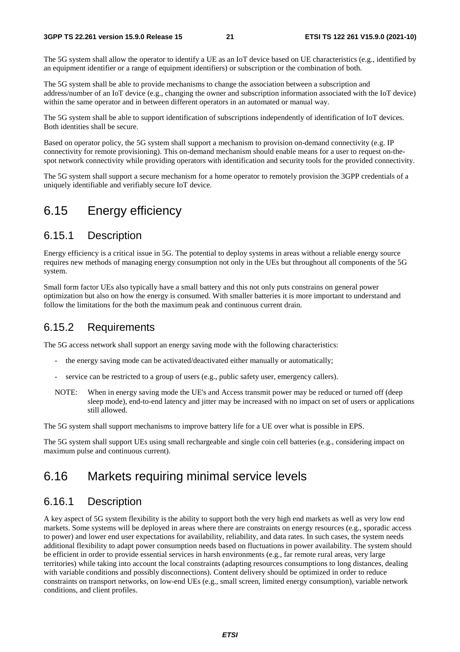The 5G system shall allow the operator to identify a UE as an IoT device based on UE characteristics (e.g., identified by an equipment identifier or a range of equipment identifiers) or subscription or the combination of both.

The 5G system shall be able to provide mechanisms to change the association between a subscription and address/number of an IoT device (e.g., changing the owner and subscription information associated with the IoT device) within the same operator and in between different operators in an automated or manual way.

The 5G system shall be able to support identification of subscriptions independently of identification of IoT devices. Both identities shall be secure.

Based on operator policy, the 5G system shall support a mechanism to provision on-demand connectivity (e.g. IP connectivity for remote provisioning). This on-demand mechanism should enable means for a user to request on-thespot network connectivity while providing operators with identification and security tools for the provided connectivity.

The 5G system shall support a secure mechanism for a home operator to remotely provision the 3GPP credentials of a uniquely identifiable and verifiably secure IoT device.

### 6.15 Energy efficiency

#### 6.15.1 Description

Energy efficiency is a critical issue in 5G. The potential to deploy systems in areas without a reliable energy source requires new methods of managing energy consumption not only in the UEs but throughout all components of the 5G system.

Small form factor UEs also typically have a small battery and this not only puts constrains on general power optimization but also on how the energy is consumed. With smaller batteries it is more important to understand and follow the limitations for the both the maximum peak and continuous current drain.

#### 6.15.2 Requirements

The 5G access network shall support an energy saving mode with the following characteristics:

- the energy saving mode can be activated/deactivated either manually or automatically;
- service can be restricted to a group of users (e.g., public safety user, emergency callers).
- NOTE: When in energy saving mode the UE's and Access transmit power may be reduced or turned off (deep sleep mode), end-to-end latency and jitter may be increased with no impact on set of users or applications still allowed.

The 5G system shall support mechanisms to improve battery life for a UE over what is possible in EPS.

The 5G system shall support UEs using small rechargeable and single coin cell batteries (e.g., considering impact on maximum pulse and continuous current).

### 6.16 Markets requiring minimal service levels

#### 6.16.1 Description

A key aspect of 5G system flexibility is the ability to support both the very high end markets as well as very low end markets. Some systems will be deployed in areas where there are constraints on energy resources (e.g., sporadic access to power) and lower end user expectations for availability, reliability, and data rates. In such cases, the system needs additional flexibility to adapt power consumption needs based on fluctuations in power availability. The system should be efficient in order to provide essential services in harsh environments (e.g., far remote rural areas, very large territories) while taking into account the local constraints (adapting resources consumptions to long distances, dealing with variable conditions and possibly disconnections). Content delivery should be optimized in order to reduce constraints on transport networks, on low-end UEs (e.g., small screen, limited energy consumption), variable network conditions, and client profiles.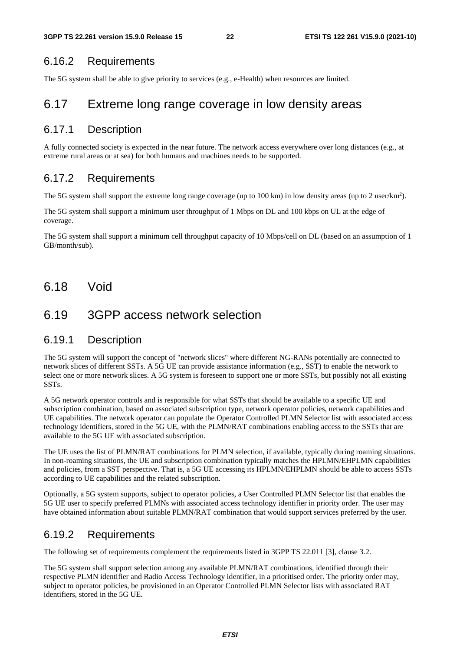### 6.16.2 Requirements

The 5G system shall be able to give priority to services (e.g., e-Health) when resources are limited.

### 6.17 Extreme long range coverage in low density areas

### 6.17.1 Description

A fully connected society is expected in the near future. The network access everywhere over long distances (e.g., at extreme rural areas or at sea) for both humans and machines needs to be supported.

### 6.17.2 Requirements

The 5G system shall support the extreme long range coverage (up to 100 km) in low density areas (up to 2 user/km<sup>2</sup>).

The 5G system shall support a minimum user throughput of 1 Mbps on DL and 100 kbps on UL at the edge of coverage.

The 5G system shall support a minimum cell throughput capacity of 10 Mbps/cell on DL (based on an assumption of 1 GB/month/sub).

6.18 Void

### 6.19 3GPP access network selection

### 6.19.1 Description

The 5G system will support the concept of "network slices" where different NG-RANs potentially are connected to network slices of different SSTs. A 5G UE can provide assistance information (e.g., SST) to enable the network to select one or more network slices. A 5G system is foreseen to support one or more SSTs, but possibly not all existing SSTs.

A 5G network operator controls and is responsible for what SSTs that should be available to a specific UE and subscription combination, based on associated subscription type, network operator policies, network capabilities and UE capabilities. The network operator can populate the Operator Controlled PLMN Selector list with associated access technology identifiers, stored in the 5G UE, with the PLMN/RAT combinations enabling access to the SSTs that are available to the 5G UE with associated subscription.

The UE uses the list of PLMN/RAT combinations for PLMN selection, if available, typically during roaming situations. In non-roaming situations, the UE and subscription combination typically matches the HPLMN/EHPLMN capabilities and policies, from a SST perspective. That is, a 5G UE accessing its HPLMN/EHPLMN should be able to access SSTs according to UE capabilities and the related subscription.

Optionally, a 5G system supports, subject to operator policies, a User Controlled PLMN Selector list that enables the 5G UE user to specify preferred PLMNs with associated access technology identifier in priority order. The user may have obtained information about suitable PLMN/RAT combination that would support services preferred by the user.

### 6.19.2 Requirements

The following set of requirements complement the requirements listed in 3GPP TS 22.011 [3], clause 3.2.

The 5G system shall support selection among any available PLMN/RAT combinations, identified through their respective PLMN identifier and Radio Access Technology identifier, in a prioritised order. The priority order may, subject to operator policies, be provisioned in an Operator Controlled PLMN Selector lists with associated RAT identifiers, stored in the 5G UE.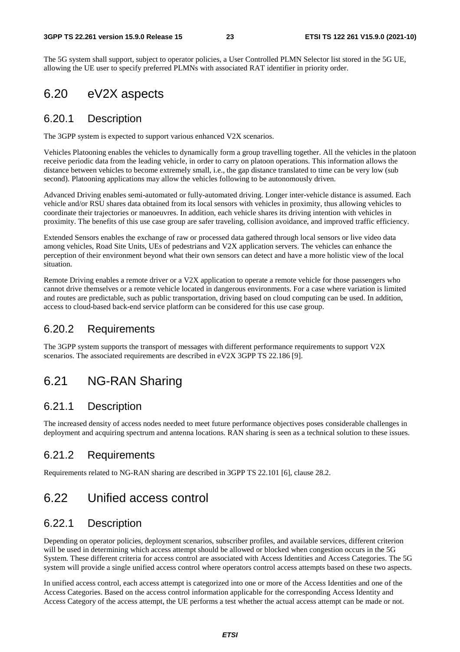The 5G system shall support, subject to operator policies, a User Controlled PLMN Selector list stored in the 5G UE, allowing the UE user to specify preferred PLMNs with associated RAT identifier in priority order.

### 6.20 eV2X aspects

#### 6.20.1 Description

The 3GPP system is expected to support various enhanced V2X scenarios.

Vehicles Platooning enables the vehicles to dynamically form a group travelling together. All the vehicles in the platoon receive periodic data from the leading vehicle, in order to carry on platoon operations. This information allows the distance between vehicles to become extremely small, i.e., the gap distance translated to time can be very low (sub second). Platooning applications may allow the vehicles following to be autonomously driven.

Advanced Driving enables semi-automated or fully-automated driving. Longer inter-vehicle distance is assumed. Each vehicle and/or RSU shares data obtained from its local sensors with vehicles in proximity, thus allowing vehicles to coordinate their trajectories or manoeuvres. In addition, each vehicle shares its driving intention with vehicles in proximity. The benefits of this use case group are safer traveling, collision avoidance, and improved traffic efficiency.

Extended Sensors enables the exchange of raw or processed data gathered through local sensors or live video data among vehicles, Road Site Units, UEs of pedestrians and V2X application servers. The vehicles can enhance the perception of their environment beyond what their own sensors can detect and have a more holistic view of the local situation.

Remote Driving enables a remote driver or a V2X application to operate a remote vehicle for those passengers who cannot drive themselves or a remote vehicle located in dangerous environments. For a case where variation is limited and routes are predictable, such as public transportation, driving based on cloud computing can be used. In addition, access to cloud-based back-end service platform can be considered for this use case group.

### 6.20.2 Requirements

The 3GPP system supports the transport of messages with different performance requirements to support V2X scenarios. The associated requirements are described in eV2X 3GPP TS 22.186 [9].

### 6.21 NG-RAN Sharing

### 6.21.1 Description

The increased density of access nodes needed to meet future performance objectives poses considerable challenges in deployment and acquiring spectrum and antenna locations. RAN sharing is seen as a technical solution to these issues.

#### 6.21.2 Requirements

Requirements related to NG-RAN sharing are described in 3GPP TS 22.101 [6], clause 28.2.

### 6.22 Unified access control

#### 6.22.1 Description

Depending on operator policies, deployment scenarios, subscriber profiles, and available services, different criterion will be used in determining which access attempt should be allowed or blocked when congestion occurs in the 5G System. These different criteria for access control are associated with Access Identities and Access Categories. The 5G system will provide a single unified access control where operators control access attempts based on these two aspects.

In unified access control, each access attempt is categorized into one or more of the Access Identities and one of the Access Categories. Based on the access control information applicable for the corresponding Access Identity and Access Category of the access attempt, the UE performs a test whether the actual access attempt can be made or not.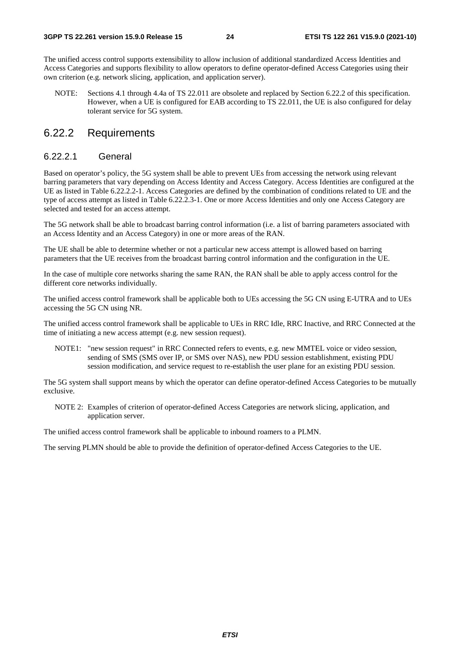The unified access control supports extensibility to allow inclusion of additional standardized Access Identities and Access Categories and supports flexibility to allow operators to define operator-defined Access Categories using their own criterion (e.g. network slicing, application, and application server).

NOTE: Sections 4.1 through 4.4a of TS 22.011 are obsolete and replaced by Section 6.22.2 of this specification. However, when a UE is configured for EAB according to TS 22.011, the UE is also configured for delay tolerant service for 5G system.

### 6.22.2 Requirements

#### 6.22.2.1 General

Based on operator's policy, the 5G system shall be able to prevent UEs from accessing the network using relevant barring parameters that vary depending on Access Identity and Access Category. Access Identities are configured at the UE as listed in Table 6.22.2.2-1. Access Categories are defined by the combination of conditions related to UE and the type of access attempt as listed in Table 6.22.2.3-1. One or more Access Identities and only one Access Category are selected and tested for an access attempt.

The 5G network shall be able to broadcast barring control information (i.e. a list of barring parameters associated with an Access Identity and an Access Category) in one or more areas of the RAN.

The UE shall be able to determine whether or not a particular new access attempt is allowed based on barring parameters that the UE receives from the broadcast barring control information and the configuration in the UE.

In the case of multiple core networks sharing the same RAN, the RAN shall be able to apply access control for the different core networks individually.

The unified access control framework shall be applicable both to UEs accessing the 5G CN using E-UTRA and to UEs accessing the 5G CN using NR.

The unified access control framework shall be applicable to UEs in RRC Idle, RRC Inactive, and RRC Connected at the time of initiating a new access attempt (e.g. new session request).

NOTE1: "new session request" in RRC Connected refers to events, e.g. new MMTEL voice or video session, sending of SMS (SMS over IP, or SMS over NAS), new PDU session establishment, existing PDU session modification, and service request to re-establish the user plane for an existing PDU session.

The 5G system shall support means by which the operator can define operator-defined Access Categories to be mutually exclusive.

NOTE 2: Examples of criterion of operator-defined Access Categories are network slicing, application, and application server.

The unified access control framework shall be applicable to inbound roamers to a PLMN.

The serving PLMN should be able to provide the definition of operator-defined Access Categories to the UE.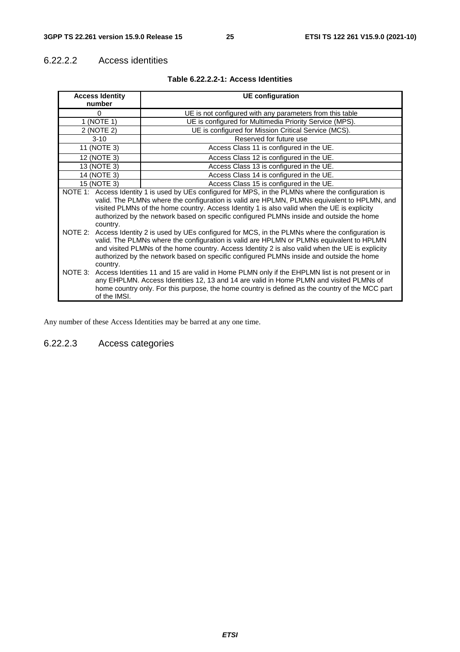#### 6.22.2.2 Access identities

| <b>Access Identity</b> | <b>UE</b> configuration                                                                                                                                                                                                                                                                                                                                                                         |
|------------------------|-------------------------------------------------------------------------------------------------------------------------------------------------------------------------------------------------------------------------------------------------------------------------------------------------------------------------------------------------------------------------------------------------|
| number                 |                                                                                                                                                                                                                                                                                                                                                                                                 |
| 0                      | UE is not configured with any parameters from this table                                                                                                                                                                                                                                                                                                                                        |
| 1 (NOTE 1)             | UE is configured for Multimedia Priority Service (MPS).                                                                                                                                                                                                                                                                                                                                         |
| 2 (NOTE 2)             | UE is configured for Mission Critical Service (MCS).                                                                                                                                                                                                                                                                                                                                            |
| $3 - 10$               | Reserved for future use                                                                                                                                                                                                                                                                                                                                                                         |
| 11 (NOTE 3)            | Access Class 11 is configured in the UE.                                                                                                                                                                                                                                                                                                                                                        |
| 12 (NOTE 3)            | Access Class 12 is configured in the UE.                                                                                                                                                                                                                                                                                                                                                        |
| 13 (NOTE 3)            | Access Class 13 is configured in the UE.                                                                                                                                                                                                                                                                                                                                                        |
| 14 (NOTE 3)            | Access Class 14 is configured in the UE.                                                                                                                                                                                                                                                                                                                                                        |
| 15 (NOTE 3)            | Access Class 15 is configured in the UE.                                                                                                                                                                                                                                                                                                                                                        |
| country.               | NOTE 1: Access Identity 1 is used by UEs configured for MPS, in the PLMNs where the configuration is<br>valid. The PLMNs where the configuration is valid are HPLMN, PLMNs equivalent to HPLMN, and<br>visited PLMNs of the home country. Access Identity 1 is also valid when the UE is explicity<br>authorized by the network based on specific configured PLMNs inside and outside the home  |
| country.               | NOTE 2: Access Identity 2 is used by UEs configured for MCS, in the PLMNs where the configuration is<br>valid. The PLMNs where the configuration is valid are HPLMN or PLMNs equivalent to HPLMN<br>and visited PLMNs of the home country. Access Identity 2 is also valid when the UE is explicity<br>authorized by the network based on specific configured PLMNs inside and outside the home |
| of the IMSI.           | NOTE 3: Access Identities 11 and 15 are valid in Home PLMN only if the EHPLMN list is not present or in<br>any EHPLMN. Access Identities 12, 13 and 14 are valid in Home PLMN and visited PLMNs of<br>home country only. For this purpose, the home country is defined as the country of the MCC part                                                                                           |

#### **Table 6.22.2.2-1: Access Identities**

Any number of these Access Identities may be barred at any one time.

### 6.22.2.3 Access categories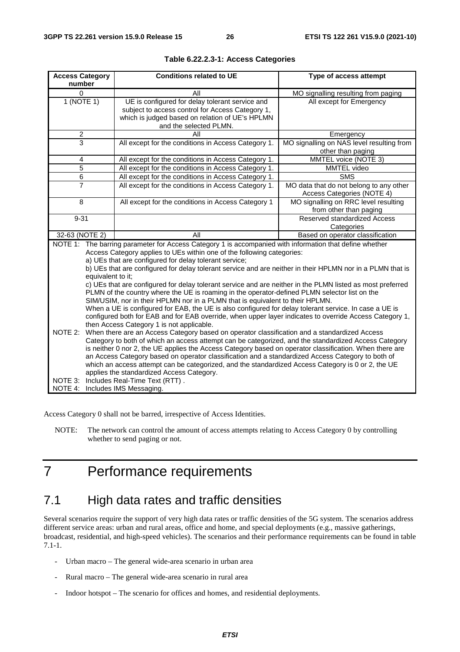| <b>Access Category</b><br>number | <b>Conditions related to UE</b>                                                                                                                                                                                                                                                                                                                                                                                                                                                                                                                                                                                                                                                                                                                                                                                                                                                                                                                                                                                                                                                                                                                                                                                                                                                                                                                                                                                                                                                                        | Type of access attempt                                                |
|----------------------------------|--------------------------------------------------------------------------------------------------------------------------------------------------------------------------------------------------------------------------------------------------------------------------------------------------------------------------------------------------------------------------------------------------------------------------------------------------------------------------------------------------------------------------------------------------------------------------------------------------------------------------------------------------------------------------------------------------------------------------------------------------------------------------------------------------------------------------------------------------------------------------------------------------------------------------------------------------------------------------------------------------------------------------------------------------------------------------------------------------------------------------------------------------------------------------------------------------------------------------------------------------------------------------------------------------------------------------------------------------------------------------------------------------------------------------------------------------------------------------------------------------------|-----------------------------------------------------------------------|
| 0                                | Αll                                                                                                                                                                                                                                                                                                                                                                                                                                                                                                                                                                                                                                                                                                                                                                                                                                                                                                                                                                                                                                                                                                                                                                                                                                                                                                                                                                                                                                                                                                    | MO signalling resulting from paging                                   |
| 1(NOTE 1)                        | UE is configured for delay tolerant service and<br>subject to access control for Access Category 1,<br>which is judged based on relation of UE's HPLMN<br>and the selected PLMN.                                                                                                                                                                                                                                                                                                                                                                                                                                                                                                                                                                                                                                                                                                                                                                                                                                                                                                                                                                                                                                                                                                                                                                                                                                                                                                                       | All except for Emergency                                              |
| $\overline{2}$                   | All                                                                                                                                                                                                                                                                                                                                                                                                                                                                                                                                                                                                                                                                                                                                                                                                                                                                                                                                                                                                                                                                                                                                                                                                                                                                                                                                                                                                                                                                                                    | Emergency                                                             |
| $\overline{3}$                   | All except for the conditions in Access Category 1.                                                                                                                                                                                                                                                                                                                                                                                                                                                                                                                                                                                                                                                                                                                                                                                                                                                                                                                                                                                                                                                                                                                                                                                                                                                                                                                                                                                                                                                    | MO signalling on NAS level resulting from<br>other than paging        |
| 4                                | All except for the conditions in Access Category 1.                                                                                                                                                                                                                                                                                                                                                                                                                                                                                                                                                                                                                                                                                                                                                                                                                                                                                                                                                                                                                                                                                                                                                                                                                                                                                                                                                                                                                                                    | MMTEL voice (NOTE 3)                                                  |
| 5                                | All except for the conditions in Access Category 1.                                                                                                                                                                                                                                                                                                                                                                                                                                                                                                                                                                                                                                                                                                                                                                                                                                                                                                                                                                                                                                                                                                                                                                                                                                                                                                                                                                                                                                                    | MMTEL video                                                           |
| 6                                | All except for the conditions in Access Category 1.                                                                                                                                                                                                                                                                                                                                                                                                                                                                                                                                                                                                                                                                                                                                                                                                                                                                                                                                                                                                                                                                                                                                                                                                                                                                                                                                                                                                                                                    | <b>SMS</b>                                                            |
| $\overline{7}$                   | All except for the conditions in Access Category 1.                                                                                                                                                                                                                                                                                                                                                                                                                                                                                                                                                                                                                                                                                                                                                                                                                                                                                                                                                                                                                                                                                                                                                                                                                                                                                                                                                                                                                                                    | MO data that do not belong to any other<br>Access Categories (NOTE 4) |
| $\overline{8}$                   | All except for the conditions in Access Category 1                                                                                                                                                                                                                                                                                                                                                                                                                                                                                                                                                                                                                                                                                                                                                                                                                                                                                                                                                                                                                                                                                                                                                                                                                                                                                                                                                                                                                                                     | MO signalling on RRC level resulting<br>from other than paging        |
| $9 - 31$                         |                                                                                                                                                                                                                                                                                                                                                                                                                                                                                                                                                                                                                                                                                                                                                                                                                                                                                                                                                                                                                                                                                                                                                                                                                                                                                                                                                                                                                                                                                                        | Reserved standardized Access<br>Categories                            |
| 32-63 (NOTE 2)                   | All                                                                                                                                                                                                                                                                                                                                                                                                                                                                                                                                                                                                                                                                                                                                                                                                                                                                                                                                                                                                                                                                                                                                                                                                                                                                                                                                                                                                                                                                                                    | Based on operator classification                                      |
| equivalent to it;<br>NOTE 2:     | NOTE 1: The barring parameter for Access Category 1 is accompanied with information that define whether<br>Access Category applies to UEs within one of the following categories:<br>a) UEs that are configured for delay tolerant service;<br>b) UEs that are configured for delay tolerant service and are neither in their HPLMN nor in a PLMN that is<br>c) UEs that are configured for delay tolerant service and are neither in the PLMN listed as most preferred<br>PLMN of the country where the UE is roaming in the operator-defined PLMN selector list on the<br>SIM/USIM, nor in their HPLMN nor in a PLMN that is equivalent to their HPLMN.<br>When a UE is configured for EAB, the UE is also configured for delay tolerant service. In case a UE is<br>configured both for EAB and for EAB override, when upper layer indicates to override Access Category 1,<br>then Access Category 1 is not applicable.<br>When there are an Access Category based on operator classification and a standardized Access<br>Category to both of which an access attempt can be categorized, and the standardized Access Category<br>is neither 0 nor 2, the UE applies the Access Category based on operator classification. When there are<br>an Access Category based on operator classification and a standardized Access Category to both of<br>which an access attempt can be categorized, and the standardized Access Category is 0 or 2, the UE<br>applies the standardized Access Category. |                                                                       |
| NOTE 3:<br>NOTE 4:               | Includes Real-Time Text (RTT).<br>Includes IMS Messaging.                                                                                                                                                                                                                                                                                                                                                                                                                                                                                                                                                                                                                                                                                                                                                                                                                                                                                                                                                                                                                                                                                                                                                                                                                                                                                                                                                                                                                                              |                                                                       |

#### **Table 6.22.2.3-1: Access Categories**

Access Category 0 shall not be barred, irrespective of Access Identities.

NOTE: The network can control the amount of access attempts relating to Access Category 0 by controlling whether to send paging or not.

## 7 Performance requirements

### 7.1 High data rates and traffic densities

Several scenarios require the support of very high data rates or traffic densities of the 5G system. The scenarios address different service areas: urban and rural areas, office and home, and special deployments (e.g., massive gatherings, broadcast, residential, and high-speed vehicles). The scenarios and their performance requirements can be found in table 7.1-1.

- Urban macro The general wide-area scenario in urban area
- Rural macro The general wide-area scenario in rural area
- Indoor hotspot The scenario for offices and homes, and residential deployments.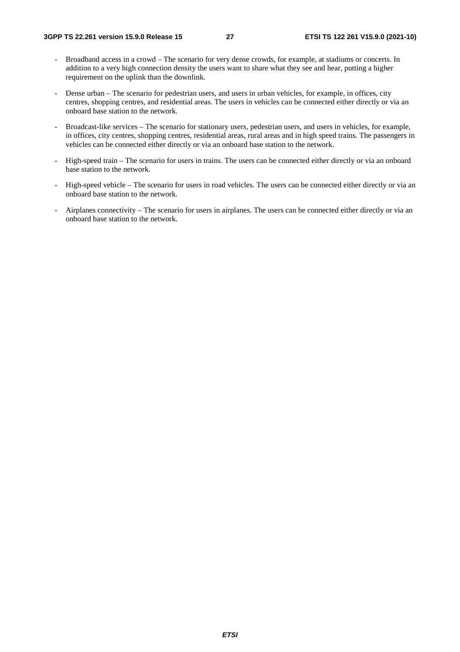- Broadband access in a crowd The scenario for very dense crowds, for example, at stadiums or concerts. In addition to a very high connection density the users want to share what they see and hear, putting a higher requirement on the uplink than the downlink.
- Dense urban The scenario for pedestrian users, and users in urban vehicles, for example, in offices, city centres, shopping centres, and residential areas. The users in vehicles can be connected either directly or via an onboard base station to the network.
- Broadcast-like services The scenario for stationary users, pedestrian users, and users in vehicles, for example, in offices, city centres, shopping centres, residential areas, rural areas and in high speed trains. The passengers in vehicles can be connected either directly or via an onboard base station to the network.
- High-speed train The scenario for users in trains. The users can be connected either directly or via an onboard base station to the network.
- High-speed vehicle The scenario for users in road vehicles. The users can be connected either directly or via an onboard base station to the network.
- Airplanes connectivity The scenario for users in airplanes. The users can be connected either directly or via an onboard base station to the network.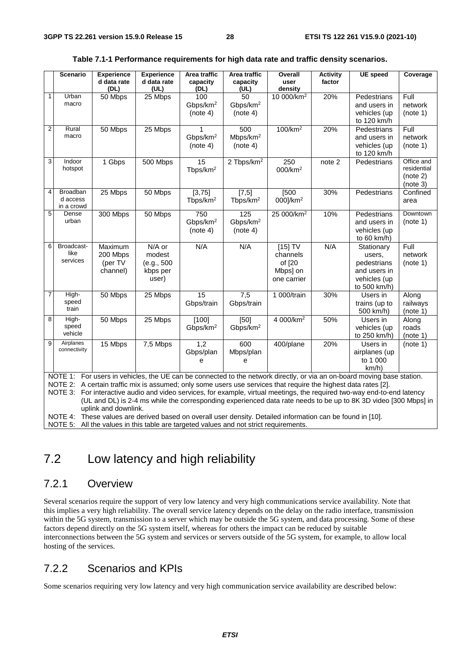|                | <b>Scenario</b>           | <b>Experience</b><br>d data rate | <b>Experience</b><br>d data rate | Area traffic<br>capacity        | Area traffic<br>capacity                                                              | Overall<br>user                                                                                                 | <b>Activity</b><br>factor | <b>UE</b> speed                                                                                                         | Coverage         |
|----------------|---------------------------|----------------------------------|----------------------------------|---------------------------------|---------------------------------------------------------------------------------------|-----------------------------------------------------------------------------------------------------------------|---------------------------|-------------------------------------------------------------------------------------------------------------------------|------------------|
|                |                           | (DL)                             | (UL)                             | (DL)                            | (UL)                                                                                  | density                                                                                                         |                           |                                                                                                                         |                  |
| $\mathbf{1}$   | Urban                     | 50 Mbps                          | 25 Mbps                          | 100                             | 50                                                                                    | 10 000/km <sup>2</sup>                                                                                          | 20%                       | Pedestrians                                                                                                             | Full             |
|                | macro                     |                                  |                                  | Gbps/km <sup>2</sup>            | Gbps/km <sup>2</sup>                                                                  |                                                                                                                 |                           | and users in                                                                                                            | network          |
|                |                           |                                  |                                  | (note 4)                        | (note 4)                                                                              |                                                                                                                 |                           | vehicles (up                                                                                                            | (note 1)         |
| $\overline{2}$ | Rural                     |                                  |                                  |                                 |                                                                                       | 100/km <sup>2</sup>                                                                                             | 20%                       | to 120 km/h                                                                                                             | Full             |
|                | macro                     | 50 Mbps                          | 25 Mbps                          | Gbps/km <sup>2</sup>            | 500<br>Mbps/km <sup>2</sup>                                                           |                                                                                                                 |                           | Pedestrians<br>and users in                                                                                             | network          |
|                |                           |                                  |                                  | (note 4)                        | (note 4)                                                                              |                                                                                                                 |                           | vehicles (up                                                                                                            | (note 1)         |
|                |                           |                                  |                                  |                                 |                                                                                       |                                                                                                                 |                           | to 120 km/h                                                                                                             |                  |
| 3              | Indoor                    | $\overline{1}$ Gbps              | 500 Mbps                         | 15                              | 2 Tbps/km <sup>2</sup>                                                                | 250                                                                                                             | note <sub>2</sub>         | Pedestrians                                                                                                             | Office and       |
|                | hotspot                   |                                  |                                  | Tbps/km $2$                     |                                                                                       | 000/km <sup>2</sup>                                                                                             |                           |                                                                                                                         | residential      |
|                |                           |                                  |                                  |                                 |                                                                                       |                                                                                                                 |                           |                                                                                                                         | (note 2)         |
| 4              |                           |                                  |                                  |                                 |                                                                                       |                                                                                                                 |                           |                                                                                                                         | (note 3)         |
|                | Broadban<br>d access      | 25 Mbps                          | 50 Mbps                          | [3, 75]<br>Tbps/km <sup>2</sup> | $[7,5]$<br>Tbps/km <sup>2</sup>                                                       | [500<br>000]/km <sup>2</sup>                                                                                    | 30%                       | Pedestrians                                                                                                             | Confined<br>area |
|                | in a crowd                |                                  |                                  |                                 |                                                                                       |                                                                                                                 |                           |                                                                                                                         |                  |
| 5              | Dense                     | 300 Mbps                         | 50 Mbps                          | 750                             | 125                                                                                   | 25 000/km <sup>2</sup>                                                                                          | 10%                       | Pedestrians                                                                                                             | Downtown         |
|                | urban                     |                                  |                                  | Gbps/km <sup>2</sup>            | Gbps/km <sup>2</sup>                                                                  |                                                                                                                 |                           | and users in                                                                                                            | (note 1)         |
|                |                           |                                  |                                  | (note 4)                        | (note 4)                                                                              |                                                                                                                 |                           | vehicles (up                                                                                                            |                  |
|                |                           |                                  |                                  |                                 |                                                                                       |                                                                                                                 |                           | to 60 km/h)                                                                                                             |                  |
| 6              | Broadcast-<br>like        | Maximum                          | N/A or                           | N/A                             | N/A                                                                                   | $[15]$ TV                                                                                                       | N/A                       | Stationary                                                                                                              | Full             |
|                | services                  | 200 Mbps<br>(per TV              | modest                           |                                 |                                                                                       | channels                                                                                                        |                           | users,<br>pedestrians                                                                                                   | network          |
|                |                           | channel)                         | (e.g., 500<br>kbps per           |                                 |                                                                                       | of [20<br>Mbps] on                                                                                              |                           | and users in                                                                                                            | (note 1)         |
|                |                           |                                  | user)                            |                                 |                                                                                       | one carrier                                                                                                     |                           | vehicles (up                                                                                                            |                  |
|                |                           |                                  |                                  |                                 |                                                                                       |                                                                                                                 |                           | to 500 km/h)                                                                                                            |                  |
| 7              | High-                     | 50 Mbps                          | 25 Mbps                          | 15                              | 7,5                                                                                   | 1 000/train                                                                                                     | 30%                       | Users in                                                                                                                | Along            |
|                | speed                     |                                  |                                  | Gbps/train                      | Gbps/train                                                                            |                                                                                                                 |                           | trains (up to                                                                                                           | railways         |
|                | train                     |                                  |                                  |                                 |                                                                                       |                                                                                                                 |                           | 500 km/h)                                                                                                               | (note 1)         |
| 8              | High-                     | 50 Mbps                          | 25 Mbps                          | [100]                           | [50]                                                                                  | 4 000/km <sup>2</sup>                                                                                           | 50%                       | Users in                                                                                                                | Along            |
|                | speed<br>vehicle          |                                  |                                  | Gbps/km <sup>2</sup>            | Gbps/km <sup>2</sup>                                                                  |                                                                                                                 |                           | vehicles (up                                                                                                            | roads            |
|                |                           |                                  |                                  |                                 |                                                                                       |                                                                                                                 |                           | to 250 km/h)                                                                                                            | $(note_1)$       |
| 9              | Airplanes<br>connectivity | 15 Mbps                          | 7,5 Mbps                         | 1,2                             | 600                                                                                   | 400/plane                                                                                                       | 20%                       | Users in                                                                                                                | (note 1)         |
|                |                           |                                  |                                  | Gbps/plan                       | Mbps/plan                                                                             |                                                                                                                 |                           | airplanes (up<br>to 1 000                                                                                               |                  |
|                |                           |                                  |                                  | e                               | e                                                                                     |                                                                                                                 |                           | km/h)                                                                                                                   |                  |
|                |                           |                                  |                                  |                                 |                                                                                       |                                                                                                                 |                           | NOTE 1: For users in vehicles, the UE can be connected to the network directly, or via an on-board moving base station. |                  |
|                |                           |                                  |                                  |                                 |                                                                                       | NOTE 2: A certain traffic mix is assumed; only some users use services that require the highest data rates [2]. |                           |                                                                                                                         |                  |
|                | NOTE 3:                   |                                  |                                  |                                 |                                                                                       |                                                                                                                 |                           | For interactive audio and video services, for example, virtual meetings, the required two-way end-to-end latency        |                  |
|                |                           |                                  |                                  |                                 |                                                                                       |                                                                                                                 |                           | (UL and DL) is 2-4 ms while the corresponding experienced data rate needs to be up to 8K 3D video [300 Mbps] in         |                  |
|                |                           | uplink and downlink.             |                                  |                                 |                                                                                       |                                                                                                                 |                           |                                                                                                                         |                  |
|                |                           |                                  |                                  |                                 |                                                                                       | NOTE 4: These values are derived based on overall user density. Detailed information can be found in [10].      |                           |                                                                                                                         |                  |
|                |                           |                                  |                                  |                                 | NOTE 5: All the values in this table are targeted values and not strict requirements. |                                                                                                                 |                           |                                                                                                                         |                  |

#### **Table 7.1-1 Performance requirements for high data rate and traffic density scenarios.**

7.2 Low latency and high reliability

### 7.2.1 Overview

Several scenarios require the support of very low latency and very high communications service availability. Note that this implies a very high reliability. The overall service latency depends on the delay on the radio interface, transmission within the 5G system, transmission to a server which may be outside the 5G system, and data processing. Some of these factors depend directly on the 5G system itself, whereas for others the impact can be reduced by suitable interconnections between the 5G system and services or servers outside of the 5G system, for example, to allow local hosting of the services.

### 7.2.2 Scenarios and KPIs

Some scenarios requiring very low latency and very high communication service availability are described below: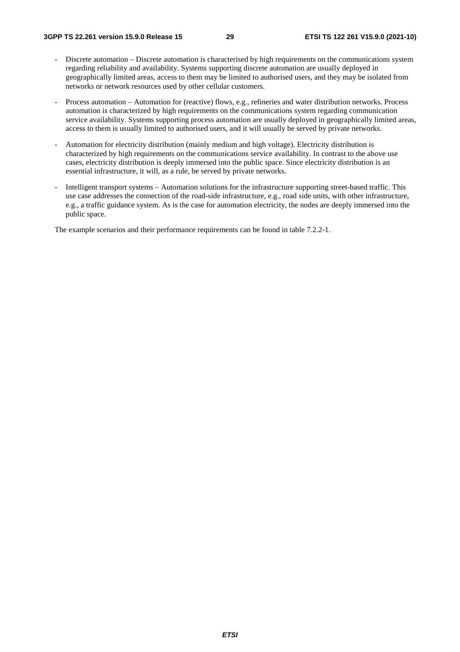- Discrete automation Discrete automation is characterised by high requirements on the communications system regarding reliability and availability. Systems supporting discrete automation are usually deployed in geographically limited areas, access to them may be limited to authorised users, and they may be isolated from networks or network resources used by other cellular customers.
- Process automation Automation for (reactive) flows, e.g., refineries and water distribution networks. Process automation is characterized by high requirements on the communications system regarding communication service availability. Systems supporting process automation are usually deployed in geographically limited areas, access to them is usually limited to authorised users, and it will usually be served by private networks.
- Automation for electricity distribution (mainly medium and high voltage). Electricity distribution is characterized by high requirements on the communications service availability. In contrast to the above use cases, electricity distribution is deeply immersed into the public space. Since electricity distribution is an essential infrastructure, it will, as a rule, be served by private networks.
- Intelligent transport systems Automation solutions for the infrastructure supporting street-based traffic. This use case addresses the connection of the road-side infrastructure, e.g., road side units, with other infrastructure, e.g., a traffic guidance system. As is the case for automation electricity, the nodes are deeply immersed into the public space.

The example scenarios and their performance requirements can be found in table 7.2.2-1.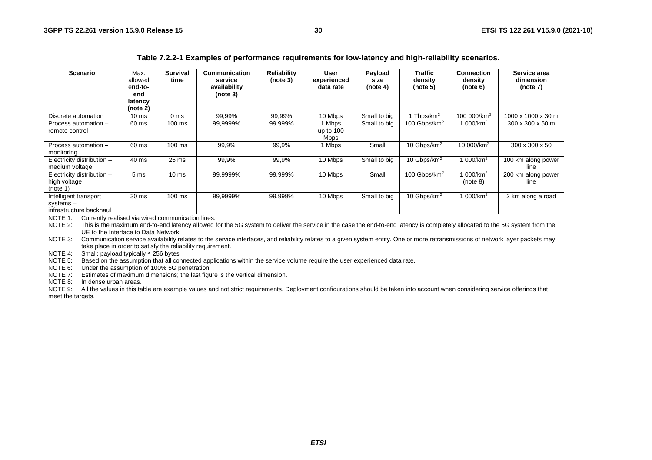| Table 7.2.2-1 Examples of performance requirements for low-latency and high-reliability scenarios. |  |  |  |  |
|----------------------------------------------------------------------------------------------------|--|--|--|--|
|----------------------------------------------------------------------------------------------------|--|--|--|--|

| <b>Scenario</b>                                              | Max.<br>allowed<br>end-to- | <b>Survival</b><br>time | Communication<br>service<br>availability                                                                                                                                         | <b>Reliability</b><br>(note 3) | <b>User</b><br>experienced<br>data rate | Payload<br>size<br>(note 4) | <b>Traffic</b><br>density | <b>Connection</b><br>density | Service area<br>dimension<br>(note 7) |
|--------------------------------------------------------------|----------------------------|-------------------------|----------------------------------------------------------------------------------------------------------------------------------------------------------------------------------|--------------------------------|-----------------------------------------|-----------------------------|---------------------------|------------------------------|---------------------------------------|
|                                                              | end                        |                         | (note 3)                                                                                                                                                                         |                                |                                         |                             | (note 5)                  | (note 6)                     |                                       |
|                                                              | latency                    |                         |                                                                                                                                                                                  |                                |                                         |                             |                           |                              |                                       |
|                                                              | (note 2)                   |                         |                                                                                                                                                                                  |                                |                                         |                             |                           |                              |                                       |
| Discrete automation                                          | 10 <sub>ms</sub>           | 0 <sub>ms</sub>         | 99,99%                                                                                                                                                                           | 99,99%                         | 10 Mbps                                 | Small to big                | 1 Tbps/km <sup>2</sup>    | 100 000/km <sup>2</sup>      | 1000 x 1000 x 30 m                    |
| Process automation -                                         | 60 ms                      | $100 \text{ ms}$        | 99,9999%                                                                                                                                                                         | 99,999%                        | 1 Mbps                                  | Small to big                | 100 Gbps/km <sup>2</sup>  | 1 000/km <sup>2</sup>        | $300 \times 300 \times 50$ m          |
| remote control                                               |                            |                         |                                                                                                                                                                                  |                                | up to 100<br><b>Mbps</b>                |                             |                           |                              |                                       |
| Process automation -                                         | 60 ms                      | 100 ms                  | 99,9%                                                                                                                                                                            | 99,9%                          | 1 Mbps                                  | Small                       | 10 Gbps/km <sup>2</sup>   | 10 000/km <sup>2</sup>       | 300 x 300 x 50                        |
| monitoring                                                   |                            |                         |                                                                                                                                                                                  |                                |                                         |                             |                           |                              |                                       |
| Electricity distribution -                                   | 40 ms                      | $25$ ms                 | 99,9%                                                                                                                                                                            | 99,9%                          | 10 Mbps                                 | Small to big                | 10 Gbps/km <sup>2</sup>   | 1 000/km <sup>2</sup>        | 100 km along power                    |
| medium voltage                                               |                            |                         |                                                                                                                                                                                  |                                |                                         |                             |                           |                              | line                                  |
| Electricity distribution -                                   | 5 <sub>ms</sub>            | 10 <sub>ms</sub>        | 99,9999%                                                                                                                                                                         | 99,999%                        | 10 Mbps                                 | Small                       | 100 Gbps/km <sup>2</sup>  | 1 000/km <sup>2</sup>        | 200 km along power                    |
| high voltage                                                 |                            |                         |                                                                                                                                                                                  |                                |                                         |                             |                           | (note 8)                     | line                                  |
| (note 1)<br>Intelligent transport                            | 30 <sub>ms</sub>           | $100 \text{ ms}$        | 99,9999%                                                                                                                                                                         | 99,999%                        | 10 Mbps                                 | Small to big                | 10 Gbps/km <sup>2</sup>   | 1 000/km <sup>2</sup>        |                                       |
| $systems -$                                                  |                            |                         |                                                                                                                                                                                  |                                |                                         |                             |                           |                              | 2 km along a road                     |
| infrastructure backhaul                                      |                            |                         |                                                                                                                                                                                  |                                |                                         |                             |                           |                              |                                       |
| Currently realised via wired communication lines.<br>NOTE 1: |                            |                         |                                                                                                                                                                                  |                                |                                         |                             |                           |                              |                                       |
| NOTE 2:                                                      |                            |                         | This is the maximum end-to-end latency allowed for the 5G system to deliver the service in the case the end-to-end latency is completely allocated to the 5G system from the     |                                |                                         |                             |                           |                              |                                       |
| UE to the Interface to Data Network.                         |                            |                         |                                                                                                                                                                                  |                                |                                         |                             |                           |                              |                                       |
| NOTE 3:                                                      |                            |                         | Communication service availability relates to the service interfaces, and reliability relates to a given system entity. One or more retransmissions of network layer packets may |                                |                                         |                             |                           |                              |                                       |
| take place in order to satisfy the reliability requirement.  |                            |                         |                                                                                                                                                                                  |                                |                                         |                             |                           |                              |                                       |
| NOTE 4:<br>Small: payload typically $\leq$ 256 bytes         |                            |                         |                                                                                                                                                                                  |                                |                                         |                             |                           |                              |                                       |
| NOTE 5:                                                      |                            |                         | Based on the assumption that all connected applications within the service volume require the user experienced data rate.                                                        |                                |                                         |                             |                           |                              |                                       |
| NOTE 6:<br>Under the assumption of 100% 5G penetration.      |                            |                         |                                                                                                                                                                                  |                                |                                         |                             |                           |                              |                                       |
| NOTE 7:<br>NOTE 8:<br>In dense urban areas.                  |                            |                         | Estimates of maximum dimensions; the last figure is the vertical dimension.                                                                                                      |                                |                                         |                             |                           |                              |                                       |
| NOTE 9:                                                      |                            |                         | All the values in this table are example values and not strict requirements. Deployment configurations should be taken into account when considering service offerings that      |                                |                                         |                             |                           |                              |                                       |
| meet the targets.                                            |                            |                         |                                                                                                                                                                                  |                                |                                         |                             |                           |                              |                                       |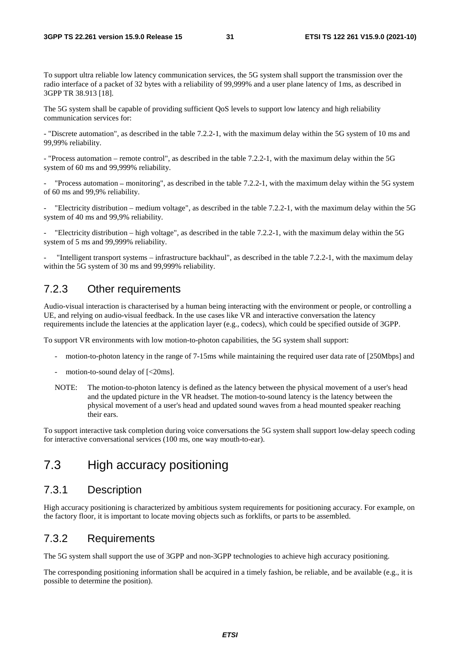To support ultra reliable low latency communication services, the 5G system shall support the transmission over the radio interface of a packet of 32 bytes with a reliability of 99,999% and a user plane latency of 1ms, as described in 3GPP TR 38.913 [18].

The 5G system shall be capable of providing sufficient QoS levels to support low latency and high reliability communication services for:

- "Discrete automation", as described in the table 7.2.2-1, with the maximum delay within the 5G system of 10 ms and 99,99% reliability.

- "Process automation – remote control", as described in the table 7.2.2-1, with the maximum delay within the 5G system of 60 ms and 99,999% reliability.

"Process automation – monitoring", as described in the table 7.2.2-1, with the maximum delay within the 5G system of 60 ms and 99,9% reliability.

"Electricity distribution – medium voltage", as described in the table  $7.2.2$ -1, with the maximum delay within the 5G system of 40 ms and 99,9% reliability.

- "Electricity distribution – high voltage", as described in the table 7.2.2-1, with the maximum delay within the 5G system of 5 ms and 99,999% reliability.

- "Intelligent transport systems – infrastructure backhaul", as described in the table 7.2.2-1, with the maximum delay within the 5G system of 30 ms and 99,999% reliability.

### 7.2.3 Other requirements

Audio-visual interaction is characterised by a human being interacting with the environment or people, or controlling a UE, and relying on audio-visual feedback. In the use cases like VR and interactive conversation the latency requirements include the latencies at the application layer (e.g., codecs), which could be specified outside of 3GPP.

To support VR environments with low motion-to-photon capabilities, the 5G system shall support:

- motion-to-photon latency in the range of 7-15ms while maintaining the required user data rate of [250Mbps] and
- motion-to-sound delay of  $\left[<20\text{ms}\right]$ .
- NOTE: The motion-to-photon latency is defined as the latency between the physical movement of a user's head and the updated picture in the VR headset. The motion-to-sound latency is the latency between the physical movement of a user's head and updated sound waves from a head mounted speaker reaching their ears.

To support interactive task completion during voice conversations the 5G system shall support low-delay speech coding for interactive conversational services (100 ms, one way mouth-to-ear).

### 7.3 High accuracy positioning

#### 7.3.1 Description

High accuracy positioning is characterized by ambitious system requirements for positioning accuracy. For example, on the factory floor, it is important to locate moving objects such as forklifts, or parts to be assembled.

#### 7.3.2 Requirements

The 5G system shall support the use of 3GPP and non-3GPP technologies to achieve high accuracy positioning.

The corresponding positioning information shall be acquired in a timely fashion, be reliable, and be available (e.g., it is possible to determine the position).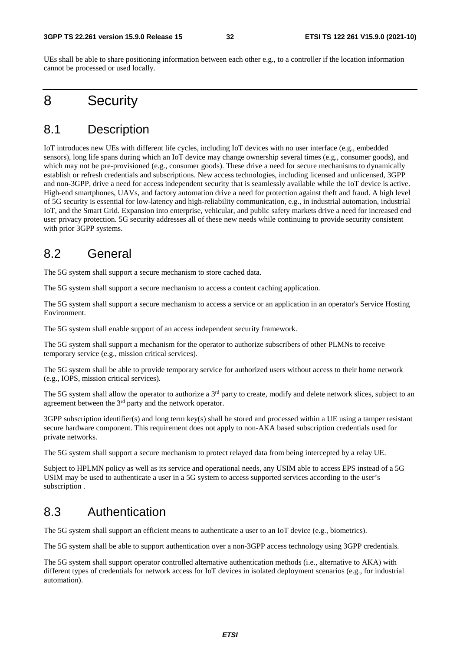UEs shall be able to share positioning information between each other e.g., to a controller if the location information cannot be processed or used locally.

## 8 Security

### 8.1 Description

IoT introduces new UEs with different life cycles, including IoT devices with no user interface (e.g., embedded sensors), long life spans during which an IoT device may change ownership several times (e.g., consumer goods), and which may not be pre-provisioned (e.g., consumer goods). These drive a need for secure mechanisms to dynamically establish or refresh credentials and subscriptions. New access technologies, including licensed and unlicensed, 3GPP and non-3GPP, drive a need for access independent security that is seamlessly available while the IoT device is active. High-end smartphones, UAVs, and factory automation drive a need for protection against theft and fraud. A high level of 5G security is essential for low-latency and high-reliability communication, e.g., in industrial automation, industrial IoT, and the Smart Grid. Expansion into enterprise, vehicular, and public safety markets drive a need for increased end user privacy protection. 5G security addresses all of these new needs while continuing to provide security consistent with prior 3GPP systems.

### 8.2 General

The 5G system shall support a secure mechanism to store cached data.

The 5G system shall support a secure mechanism to access a content caching application.

The 5G system shall support a secure mechanism to access a service or an application in an operator's Service Hosting Environment.

The 5G system shall enable support of an access independent security framework.

The 5G system shall support a mechanism for the operator to authorize subscribers of other PLMNs to receive temporary service (e.g., mission critical services).

The 5G system shall be able to provide temporary service for authorized users without access to their home network (e.g., IOPS, mission critical services).

The 5G system shall allow the operator to authorize a 3<sup>rd</sup> party to create, modify and delete network slices, subject to an agreement between the 3<sup>rd</sup> party and the network operator.

 $3GPP$  subscription identifier(s) and long term key(s) shall be stored and processed within a UE using a tamper resistant secure hardware component. This requirement does not apply to non-AKA based subscription credentials used for private networks.

The 5G system shall support a secure mechanism to protect relayed data from being intercepted by a relay UE.

Subject to HPLMN policy as well as its service and operational needs, any USIM able to access EPS instead of a 5G USIM may be used to authenticate a user in a 5G system to access supported services according to the user's subscription .

### 8.3 Authentication

The 5G system shall support an efficient means to authenticate a user to an IoT device (e.g., biometrics).

The 5G system shall be able to support authentication over a non-3GPP access technology using 3GPP credentials.

The 5G system shall support operator controlled alternative authentication methods (i.e., alternative to AKA) with different types of credentials for network access for IoT devices in isolated deployment scenarios (e.g., for industrial automation).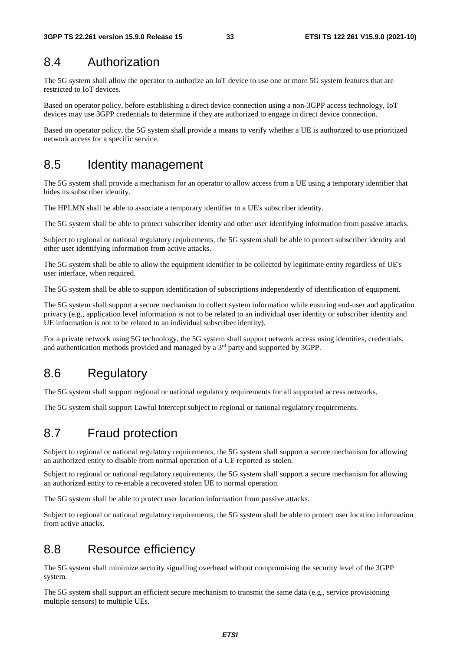## 8.4 Authorization

The 5G system shall allow the operator to authorize an IoT device to use one or more 5G system features that are restricted to IoT devices.

Based on operator policy, before establishing a direct device connection using a non-3GPP access technology, IoT devices may use 3GPP credentials to determine if they are authorized to engage in direct device connection.

Based on operator policy, the 5G system shall provide a means to verify whether a UE is authorized to use prioritized network access for a specific service.

### 8.5 Identity management

The 5G system shall provide a mechanism for an operator to allow access from a UE using a temporary identifier that hides its subscriber identity.

The HPLMN shall be able to associate a temporary identifier to a UE's subscriber identity.

The 5G system shall be able to protect subscriber identity and other user identifying information from passive attacks.

Subject to regional or national regulatory requirements, the 5G system shall be able to protect subscriber identity and other user identifying information from active attacks.

The 5G system shall be able to allow the equipment identifier to be collected by legitimate entity regardless of UE's user interface, when required.

The 5G system shall be able to support identification of subscriptions independently of identification of equipment.

The 5G system shall support a secure mechanism to collect system information while ensuring end-user and application privacy (e.g., application level information is not to be related to an individual user identity or subscriber identity and UE information is not to be related to an individual subscriber identity).

For a private network using 5G technology, the 5G system shall support network access using identities, credentials, and authentication methods provided and managed by a 3rd party and supported by 3GPP.

### 8.6 Regulatory

The 5G system shall support regional or national regulatory requirements for all supported access networks.

The 5G system shall support Lawful Intercept subject to regional or national regulatory requirements.

### 8.7 Fraud protection

Subject to regional or national regulatory requirements, the 5G system shall support a secure mechanism for allowing an authorized entity to disable from normal operation of a UE reported as stolen.

Subject to regional or national regulatory requirements, the 5G system shall support a secure mechanism for allowing an authorized entity to re-enable a recovered stolen UE to normal operation.

The 5G system shall be able to protect user location information from passive attacks.

Subject to regional or national regulatory requirements, the 5G system shall be able to protect user location information from active attacks.

### 8.8 Resource efficiency

The 5G system shall minimize security signalling overhead without compromising the security level of the 3GPP system.

The 5G system shall support an efficient secure mechanism to transmit the same data (e.g., service provisioning multiple sensors) to multiple UEs.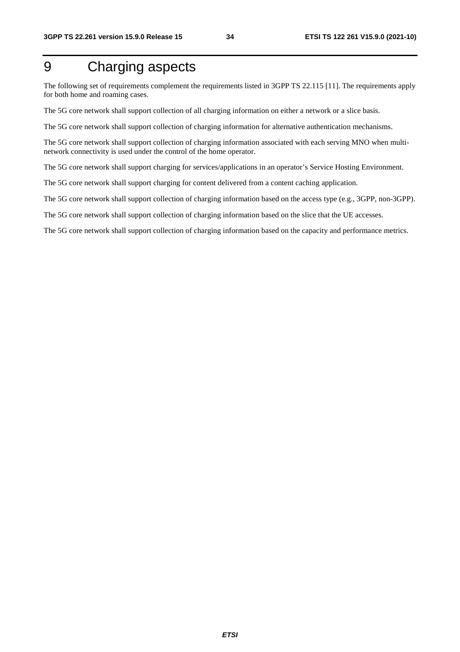## 9 Charging aspects

The following set of requirements complement the requirements listed in 3GPP TS 22.115 [11]. The requirements apply for both home and roaming cases.

The 5G core network shall support collection of all charging information on either a network or a slice basis.

The 5G core network shall support collection of charging information for alternative authentication mechanisms.

The 5G core network shall support collection of charging information associated with each serving MNO when multinetwork connectivity is used under the control of the home operator.

The 5G core network shall support charging for services/applications in an operator's Service Hosting Environment.

The 5G core network shall support charging for content delivered from a content caching application.

The 5G core network shall support collection of charging information based on the access type (e.g., 3GPP, non-3GPP).

The 5G core network shall support collection of charging information based on the slice that the UE accesses.

The 5G core network shall support collection of charging information based on the capacity and performance metrics.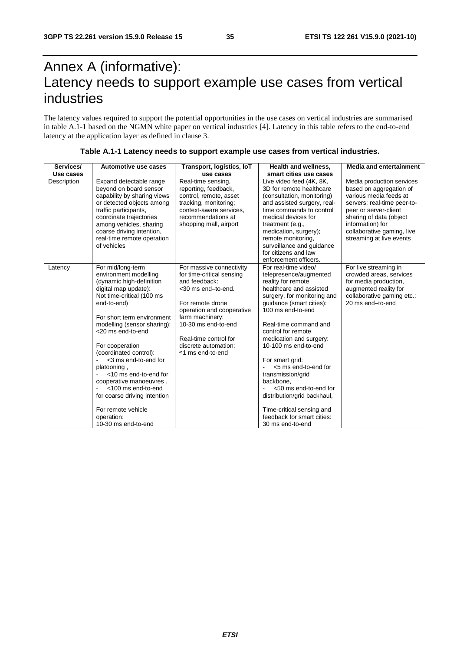## Annex A (informative): Latency needs to support example use cases from vertical industries

The latency values required to support the potential opportunities in the use cases on vertical industries are summarised in table A.1-1 based on the NGMN white paper on vertical industries [4]. Latency in this table refers to the end-to-end latency at the application layer as defined in clause 3.

| Services/<br>Use cases | Automotive use cases                                                                                                                                                                                                                                                                                                                                                                                                                                                                  | Transport, logistics, IoT<br>use cases                                                                                                                                                                                                                       | Health and wellness,<br>smart cities use cases                                                                                                                                                                                                                                                                                                                                                                                                                                                        | <b>Media and entertainment</b>                                                                                                                                                                                                                  |
|------------------------|---------------------------------------------------------------------------------------------------------------------------------------------------------------------------------------------------------------------------------------------------------------------------------------------------------------------------------------------------------------------------------------------------------------------------------------------------------------------------------------|--------------------------------------------------------------------------------------------------------------------------------------------------------------------------------------------------------------------------------------------------------------|-------------------------------------------------------------------------------------------------------------------------------------------------------------------------------------------------------------------------------------------------------------------------------------------------------------------------------------------------------------------------------------------------------------------------------------------------------------------------------------------------------|-------------------------------------------------------------------------------------------------------------------------------------------------------------------------------------------------------------------------------------------------|
| Description            | Expand detectable range<br>beyond on board sensor<br>capability by sharing views<br>or detected objects among<br>traffic participants,<br>coordinate trajectories<br>among vehicles, sharing<br>coarse driving intention,<br>real-time remote operation<br>of vehicles                                                                                                                                                                                                                | Real-time sensing,<br>reporting, feedback,<br>control, remote, asset<br>tracking, monitoring;<br>context-aware services,<br>recommendations at<br>shopping mall, airport                                                                                     | Live video feed (4K, 8K,<br>3D for remote healthcare<br>(consultation, monitoring)<br>and assisted surgery, real-<br>time commands to control<br>medical devices for<br>treatment (e.g.,<br>medication, surgery);<br>remote monitoring,<br>surveillance and guidance<br>for citizens and law<br>enforcement officers.                                                                                                                                                                                 | Media production services<br>based on aggregation of<br>various media feeds at<br>servers; real-time peer-to-<br>peer or server-client<br>sharing of data (object<br>information) for<br>collaborative gaming, live<br>streaming at live events |
| Latency                | For mid/long-term<br>environment modelling<br>(dynamic high-definition<br>digital map update):<br>Not time-critical (100 ms<br>end-to-end)<br>For short term environment<br>modelling (sensor sharing):<br><20 ms end-to-end<br>For cooperation<br>(coordinated control):<br><3 ms end-to-end for<br>platooning,<br><10 ms end-to-end for<br>cooperative manoeuvres.<br><100 ms end-to-end<br>for coarse driving intention<br>For remote vehicle<br>operation:<br>10-30 ms end-to-end | For massive connectivity<br>for time-critical sensing<br>and feedback:<br><30 ms end-to-end.<br>For remote drone<br>operation and cooperative<br>farm machinery:<br>10-30 ms end-to-end<br>Real-time control for<br>discrete automation:<br>≤1 ms end-to-end | For real-time video/<br>telepresence/augmented<br>reality for remote<br>healthcare and assisted<br>surgery, for monitoring and<br>guidance (smart cities):<br>100 ms end-to-end<br>Real-time command and<br>control for remote<br>medication and surgery:<br>10-100 ms end-to-end<br>For smart grid:<br><5 ms end-to-end for<br>transmission/grid<br>backbone.<br><50 ms end-to-end for<br>distribution/grid backhaul,<br>Time-critical sensing and<br>feedback for smart cities:<br>30 ms end-to-end | For live streaming in<br>crowded areas, services<br>for media production,<br>augmented reality for<br>collaborative gaming etc.:<br>20 ms end-to-end                                                                                            |

**Table A.1-1 Latency needs to support example use cases from vertical industries.**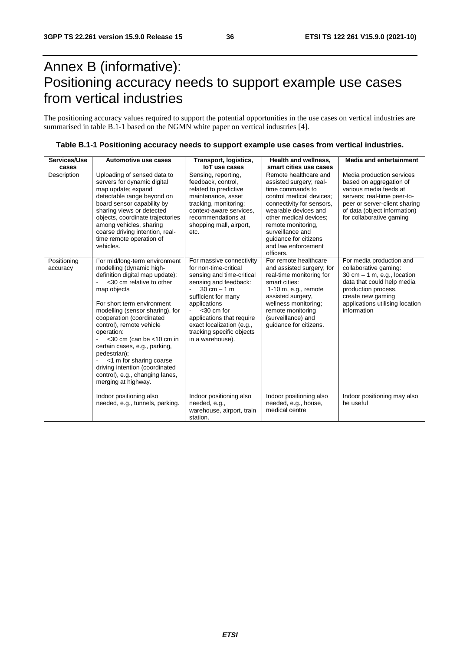## Annex B (informative): Positioning accuracy needs to support example use cases from vertical industries

The positioning accuracy values required to support the potential opportunities in the use cases on vertical industries are summarised in table B.1-1 based on the NGMN white paper on vertical industries [4].

| Services/Use            | Automotive use cases                                                                                                                                                                                                                                                                                                                                                                                                                                                                     | Transport, logistics,                                                                                                                                                                                                                                                                                       | Health and wellness,                                                                                                                                                                                                                                                                                             | <b>Media and entertainment</b>                                                                                                                                                                                  |
|-------------------------|------------------------------------------------------------------------------------------------------------------------------------------------------------------------------------------------------------------------------------------------------------------------------------------------------------------------------------------------------------------------------------------------------------------------------------------------------------------------------------------|-------------------------------------------------------------------------------------------------------------------------------------------------------------------------------------------------------------------------------------------------------------------------------------------------------------|------------------------------------------------------------------------------------------------------------------------------------------------------------------------------------------------------------------------------------------------------------------------------------------------------------------|-----------------------------------------------------------------------------------------------------------------------------------------------------------------------------------------------------------------|
| cases<br>Description    | Uploading of sensed data to<br>servers for dynamic digital<br>map update; expand<br>detectable range beyond on<br>board sensor capability by<br>sharing views or detected<br>objects, coordinate trajectories<br>among vehicles, sharing<br>coarse driving intention, real-<br>time remote operation of<br>vehicles.                                                                                                                                                                     | <b>IoT</b> use cases<br>Sensing, reporting,<br>feedback, control,<br>related to predictive<br>maintenance, asset<br>tracking, monitoring;<br>context-aware services,<br>recommendations at<br>shopping mall, airport,<br>etc.                                                                               | smart cities use cases<br>Remote healthcare and<br>assisted surgery; real-<br>time commands to<br>control medical devices;<br>connectivity for sensors,<br>wearable devices and<br>other medical devices:<br>remote monitoring,<br>surveillance and<br>quidance for citizens<br>and law enforcement<br>officers. | Media production services<br>based on aggregation of<br>various media feeds at<br>servers; real-time peer-to-<br>peer or server-client sharing<br>of data (object information)<br>for collaborative gaming      |
| Positioning<br>accuracy | For mid/long-term environment<br>modelling (dynamic high-<br>definition digital map update):<br><30 cm relative to other<br>map objects<br>For short term environment<br>modelling (sensor sharing), for<br>cooperation (coordinated<br>control), remote vehicle<br>operation:<br>$<$ 30 cm (can be $<$ 10 cm in<br>certain cases, e.g., parking,<br>pedestrian);<br><1 m for sharing coarse<br>driving intention (coordinated<br>control), e.g., changing lanes,<br>merging at highway. | For massive connectivity<br>for non-time-critical<br>sensing and time-critical<br>sensing and feedback:<br>$30 \text{ cm} - 1 \text{ m}$<br>sufficient for many<br>applications<br>$<$ 30 cm for<br>applications that require<br>exact localization (e.g.,<br>tracking specific objects<br>in a warehouse). | For remote healthcare<br>and assisted surgery; for<br>real-time monitoring for<br>smart cities:<br>$1-10$ m, e.g., remote<br>assisted surgery,<br>wellness monitoring;<br>remote monitoring<br>(surveillance) and<br>quidance for citizens.                                                                      | For media production and<br>collaborative gaming:<br>$30$ cm $-1$ m, e.g., location<br>data that could help media<br>production process,<br>create new gaming<br>applications utilising location<br>information |
|                         | Indoor positioning also<br>needed, e.g., tunnels, parking.                                                                                                                                                                                                                                                                                                                                                                                                                               | Indoor positioning also<br>needed, e.g.,<br>warehouse, airport, train<br>station.                                                                                                                                                                                                                           | Indoor positioning also<br>needed, e.g., house,<br>medical centre                                                                                                                                                                                                                                                | Indoor positioning may also<br>be useful                                                                                                                                                                        |

| Table B.1-1 Positioning accuracy needs to support example use cases from vertical industries. |  |
|-----------------------------------------------------------------------------------------------|--|
|-----------------------------------------------------------------------------------------------|--|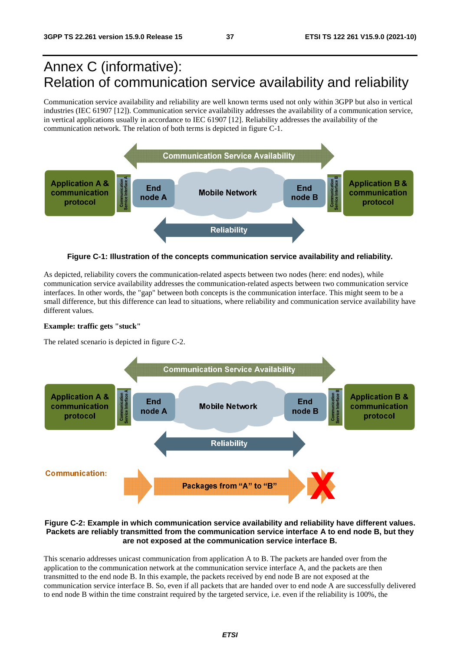## Annex C (informative): Relation of communication service availability and reliability

Communication service availability and reliability are well known terms used not only within 3GPP but also in vertical industries (IEC 61907 [12]). Communication service availability addresses the availability of a communication service, in vertical applications usually in accordance to IEC 61907 [12]. Reliability addresses the availability of the communication network. The relation of both terms is depicted in figure C-1.



**Figure C-1: Illustration of the concepts communication service availability and reliability.** 

As depicted, reliability covers the communication-related aspects between two nodes (here: end nodes), while communication service availability addresses the communication-related aspects between two communication service interfaces. In other words, the "gap" between both concepts is the communication interface. This might seem to be a small difference, but this difference can lead to situations, where reliability and communication service availability have different values.

#### **Example: traffic gets "stuck"**

The related scenario is depicted in figure C-2.



#### **Figure C-2: Example in which communication service availability and reliability have different values. Packets are reliably transmitted from the communication service interface A to end node B, but they are not exposed at the communication service interface B.**

This scenario addresses unicast communication from application A to B. The packets are handed over from the application to the communication network at the communication service interface A, and the packets are then transmitted to the end node B. In this example, the packets received by end node B are not exposed at the communication service interface B. So, even if all packets that are handed over to end node A are successfully delivered to end node B within the time constraint required by the targeted service, i.e. even if the reliability is 100%, the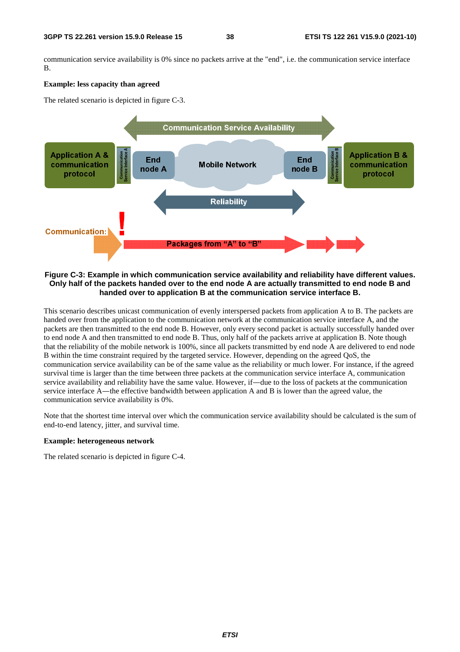communication service availability is 0% since no packets arrive at the "end", i.e. the communication service interface B.

#### **Example: less capacity than agreed**

The related scenario is depicted in figure C-3.



#### **Figure C-3: Example in which communication service availability and reliability have different values. Only half of the packets handed over to the end node A are actually transmitted to end node B and handed over to application B at the communication service interface B.**

This scenario describes unicast communication of evenly interspersed packets from application A to B. The packets are handed over from the application to the communication network at the communication service interface A, and the packets are then transmitted to the end node B. However, only every second packet is actually successfully handed over to end node A and then transmitted to end node B. Thus, only half of the packets arrive at application B. Note though that the reliability of the mobile network is 100%, since all packets transmitted by end node A are delivered to end node B within the time constraint required by the targeted service. However, depending on the agreed QoS, the communication service availability can be of the same value as the reliability or much lower. For instance, if the agreed survival time is larger than the time between three packets at the communication service interface A, communication service availability and reliability have the same value. However, if―due to the loss of packets at the communication service interface A—the effective bandwidth between application A and B is lower than the agreed value, the communication service availability is 0%.

Note that the shortest time interval over which the communication service availability should be calculated is the sum of end-to-end latency, jitter, and survival time.

#### **Example: heterogeneous network**

The related scenario is depicted in figure C-4.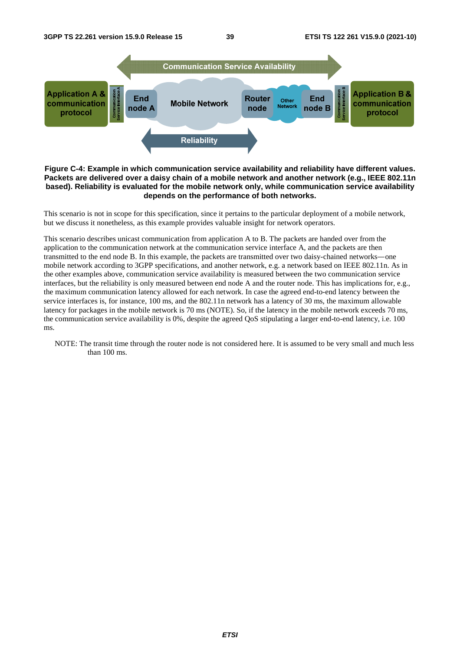

#### **Figure C-4: Example in which communication service availability and reliability have different values. Packets are delivered over a daisy chain of a mobile network and another network (e.g., IEEE 802.11n based). Reliability is evaluated for the mobile network only, while communication service availability depends on the performance of both networks.**

This scenario is not in scope for this specification, since it pertains to the particular deployment of a mobile network, but we discuss it nonetheless, as this example provides valuable insight for network operators.

This scenario describes unicast communication from application A to B. The packets are handed over from the application to the communication network at the communication service interface A, and the packets are then transmitted to the end node B. In this example, the packets are transmitted over two daisy-chained networks―one mobile network according to 3GPP specifications, and another network, e.g. a network based on IEEE 802.11n. As in the other examples above, communication service availability is measured between the two communication service interfaces, but the reliability is only measured between end node A and the router node. This has implications for, e.g., the maximum communication latency allowed for each network. In case the agreed end-to-end latency between the service interfaces is, for instance, 100 ms, and the 802.11n network has a latency of 30 ms, the maximum allowable latency for packages in the mobile network is 70 ms (NOTE). So, if the latency in the mobile network exceeds 70 ms, the communication service availability is 0%, despite the agreed QoS stipulating a larger end-to-end latency, i.e. 100 ms.

NOTE: The transit time through the router node is not considered here. It is assumed to be very small and much less than 100 ms.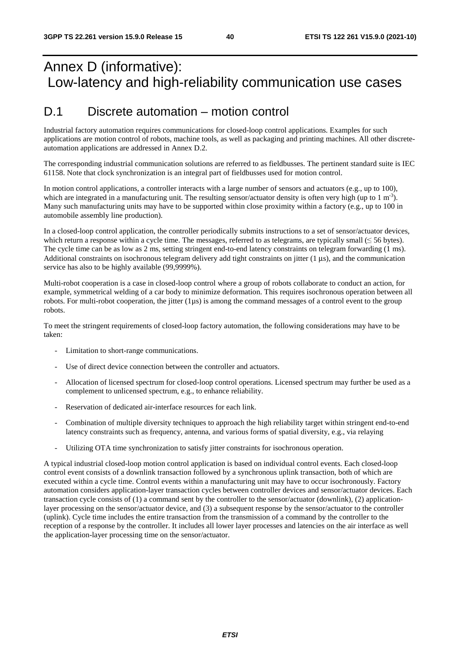## Annex D (informative): Low-latency and high-reliability communication use cases

### D.1 Discrete automation – motion control

Industrial factory automation requires communications for closed-loop control applications. Examples for such applications are motion control of robots, machine tools, as well as packaging and printing machines. All other discreteautomation applications are addressed in Annex D.2.

The corresponding industrial communication solutions are referred to as fieldbusses. The pertinent standard suite is IEC 61158. Note that clock synchronization is an integral part of fieldbusses used for motion control.

In motion control applications, a controller interacts with a large number of sensors and actuators (e.g., up to 100), which are integrated in a manufacturing unit. The resulting sensor/actuator density is often very high (up to 1 m<sup>-3</sup>). Many such manufacturing units may have to be supported within close proximity within a factory (e.g., up to 100 in automobile assembly line production).

In a closed-loop control application, the controller periodically submits instructions to a set of sensor/actuator devices, which return a response within a cycle time. The messages, referred to as telegrams, are typically small  $(\leq 56$  bytes). The cycle time can be as low as 2 ms, setting stringent end-to-end latency constraints on telegram forwarding (1 ms). Additional constraints on isochronous telegram delivery add tight constraints on jitter  $(1 \mu s)$ , and the communication service has also to be highly available (99,9999%).

Multi-robot cooperation is a case in closed-loop control where a group of robots collaborate to conduct an action, for example, symmetrical welding of a car body to minimize deformation. This requires isochronous operation between all robots. For multi-robot cooperation, the jitter  $(1\mu s)$  is among the command messages of a control event to the group robots.

To meet the stringent requirements of closed-loop factory automation, the following considerations may have to be taken:

- Limitation to short-range communications.
- Use of direct device connection between the controller and actuators.
- Allocation of licensed spectrum for closed-loop control operations. Licensed spectrum may further be used as a complement to unlicensed spectrum, e.g., to enhance reliability.
- Reservation of dedicated air-interface resources for each link.
- Combination of multiple diversity techniques to approach the high reliability target within stringent end-to-end latency constraints such as frequency, antenna, and various forms of spatial diversity, e.g., via relaying
- Utilizing OTA time synchronization to satisfy jitter constraints for isochronous operation.

A typical industrial closed-loop motion control application is based on individual control events. Each closed-loop control event consists of a downlink transaction followed by a synchronous uplink transaction, both of which are executed within a cycle time. Control events within a manufacturing unit may have to occur isochronously. Factory automation considers application-layer transaction cycles between controller devices and sensor/actuator devices. Each transaction cycle consists of (1) a command sent by the controller to the sensor/actuator (downlink), (2) applicationlayer processing on the sensor/actuator device, and (3) a subsequent response by the sensor/actuator to the controller (uplink). Cycle time includes the entire transaction from the transmission of a command by the controller to the reception of a response by the controller. It includes all lower layer processes and latencies on the air interface as well the application-layer processing time on the sensor/actuator.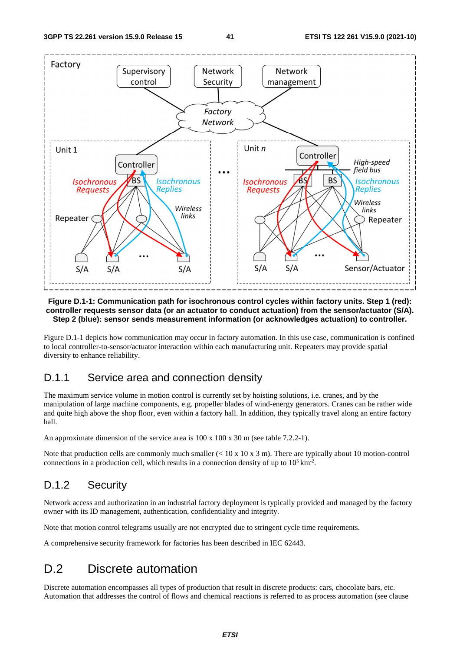

#### **Figure D.1-1: Communication path for isochronous control cycles within factory units. Step 1 (red): controller requests sensor data (or an actuator to conduct actuation) from the sensor/actuator (S/A). Step 2 (blue): sensor sends measurement information (or acknowledges actuation) to controller.**

Figure D.1-1 depicts how communication may occur in factory automation. In this use case, communication is confined to local controller-to-sensor/actuator interaction within each manufacturing unit. Repeaters may provide spatial diversity to enhance reliability.

### D.1.1 Service area and connection density

The maximum service volume in motion control is currently set by hoisting solutions, i.e. cranes, and by the manipulation of large machine components, e.g. propeller blades of wind-energy generators. Cranes can be rather wide and quite high above the shop floor, even within a factory hall. In addition, they typically travel along an entire factory hall.

An approximate dimension of the service area is 100 x 100 x 30 m (see table 7.2.2-1).

Note that production cells are commonly much smaller  $(< 10 \times 10 \times 3 \text{ m})$ . There are typically about 10 motion-control connections in a production cell, which results in a connection density of up to  $10^5 \text{ km}^2$ .

### D.1.2 Security

Network access and authorization in an industrial factory deployment is typically provided and managed by the factory owner with its ID management, authentication, confidentiality and integrity.

Note that motion control telegrams usually are not encrypted due to stringent cycle time requirements.

A comprehensive security framework for factories has been described in IEC 62443.

### D.2 Discrete automation

Discrete automation encompasses all types of production that result in discrete products: cars, chocolate bars, etc. Automation that addresses the control of flows and chemical reactions is referred to as process automation (see clause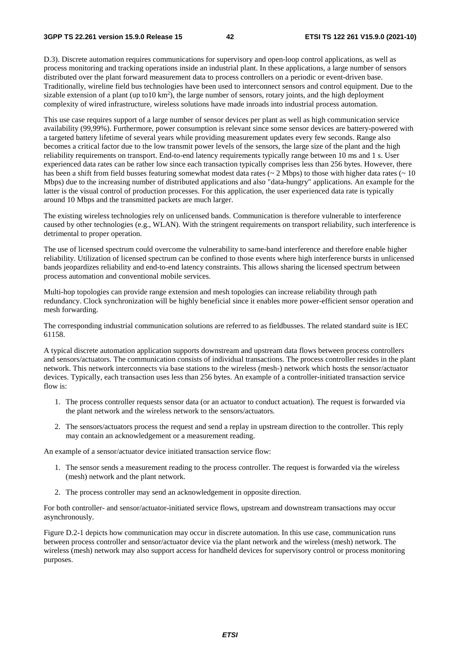D.3). Discrete automation requires communications for supervisory and open-loop control applications, as well as process monitoring and tracking operations inside an industrial plant. In these applications, a large number of sensors distributed over the plant forward measurement data to process controllers on a periodic or event-driven base. Traditionally, wireline field bus technologies have been used to interconnect sensors and control equipment. Due to the sizable extension of a plant (up to10  $km<sup>2</sup>$ ), the large number of sensors, rotary joints, and the high deployment complexity of wired infrastructure, wireless solutions have made inroads into industrial process automation.

This use case requires support of a large number of sensor devices per plant as well as high communication service availability (99,99%). Furthermore, power consumption is relevant since some sensor devices are battery-powered with a targeted battery lifetime of several years while providing measurement updates every few seconds. Range also becomes a critical factor due to the low transmit power levels of the sensors, the large size of the plant and the high reliability requirements on transport. End-to-end latency requirements typically range between 10 ms and 1 s. User experienced data rates can be rather low since each transaction typically comprises less than 256 bytes. However, there has been a shift from field busses featuring somewhat modest data rates ( $\sim 2$  Mbps) to those with higher data rates ( $\sim 10$ Mbps) due to the increasing number of distributed applications and also "data-hungry" applications. An example for the latter is the visual control of production processes. For this application, the user experienced data rate is typically around 10 Mbps and the transmitted packets are much larger.

The existing wireless technologies rely on unlicensed bands. Communication is therefore vulnerable to interference caused by other technologies (e.g., WLAN). With the stringent requirements on transport reliability, such interference is detrimental to proper operation.

The use of licensed spectrum could overcome the vulnerability to same-band interference and therefore enable higher reliability. Utilization of licensed spectrum can be confined to those events where high interference bursts in unlicensed bands jeopardizes reliability and end-to-end latency constraints. This allows sharing the licensed spectrum between process automation and conventional mobile services.

Multi-hop topologies can provide range extension and mesh topologies can increase reliability through path redundancy. Clock synchronization will be highly beneficial since it enables more power-efficient sensor operation and mesh forwarding.

The corresponding industrial communication solutions are referred to as fieldbusses. The related standard suite is IEC 61158.

A typical discrete automation application supports downstream and upstream data flows between process controllers and sensors/actuators. The communication consists of individual transactions. The process controller resides in the plant network. This network interconnects via base stations to the wireless (mesh-) network which hosts the sensor/actuator devices. Typically, each transaction uses less than 256 bytes. An example of a controller-initiated transaction service flow is:

- 1. The process controller requests sensor data (or an actuator to conduct actuation). The request is forwarded via the plant network and the wireless network to the sensors/actuators.
- 2. The sensors/actuators process the request and send a replay in upstream direction to the controller. This reply may contain an acknowledgement or a measurement reading.

An example of a sensor/actuator device initiated transaction service flow:

- 1. The sensor sends a measurement reading to the process controller. The request is forwarded via the wireless (mesh) network and the plant network.
- 2. The process controller may send an acknowledgement in opposite direction.

For both controller- and sensor/actuator-initiated service flows, upstream and downstream transactions may occur asynchronously.

Figure D.2-1 depicts how communication may occur in discrete automation. In this use case, communication runs between process controller and sensor/actuator device via the plant network and the wireless (mesh) network. The wireless (mesh) network may also support access for handheld devices for supervisory control or process monitoring purposes.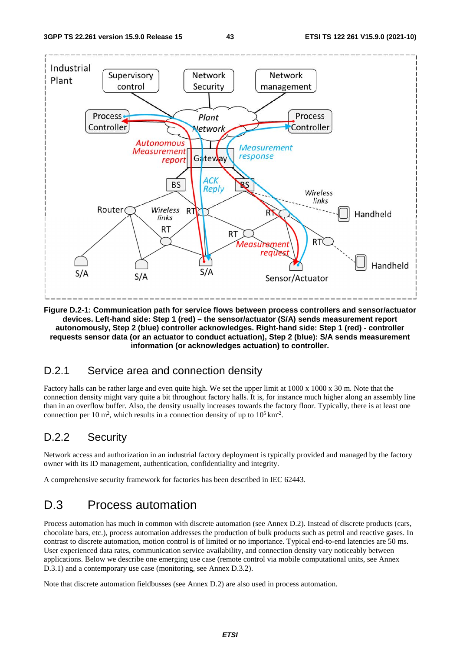

**Figure D.2-1: Communication path for service flows between process controllers and sensor/actuator devices. Left-hand side: Step 1 (red) – the sensor/actuator (S/A) sends measurement report autonomously, Step 2 (blue) controller acknowledges. Right-hand side: Step 1 (red) - controller requests sensor data (or an actuator to conduct actuation), Step 2 (blue): S/A sends measurement information (or acknowledges actuation) to controller.** 

### D.2.1 Service area and connection density

Factory halls can be rather large and even quite high. We set the upper limit at 1000 x 1000 x 30 m. Note that the connection density might vary quite a bit throughout factory halls. It is, for instance much higher along an assembly line than in an overflow buffer. Also, the density usually increases towards the factory floor. Typically, there is at least one connection per 10 m<sup>2</sup>, which results in a connection density of up to  $10^5 \text{ km}^2$ .

### D.2.2 Security

Network access and authorization in an industrial factory deployment is typically provided and managed by the factory owner with its ID management, authentication, confidentiality and integrity.

A comprehensive security framework for factories has been described in IEC 62443.

### D.3 Process automation

Process automation has much in common with discrete automation (see Annex D.2). Instead of discrete products (cars, chocolate bars, etc.), process automation addresses the production of bulk products such as petrol and reactive gases. In contrast to discrete automation, motion control is of limited or no importance. Typical end-to-end latencies are 50 ms. User experienced data rates, communication service availability, and connection density vary noticeably between applications. Below we describe one emerging use case (remote control via mobile computational units, see Annex D.3.1) and a contemporary use case (monitoring, see Annex D.3.2).

Note that discrete automation fieldbusses (see Annex D.2) are also used in process automation.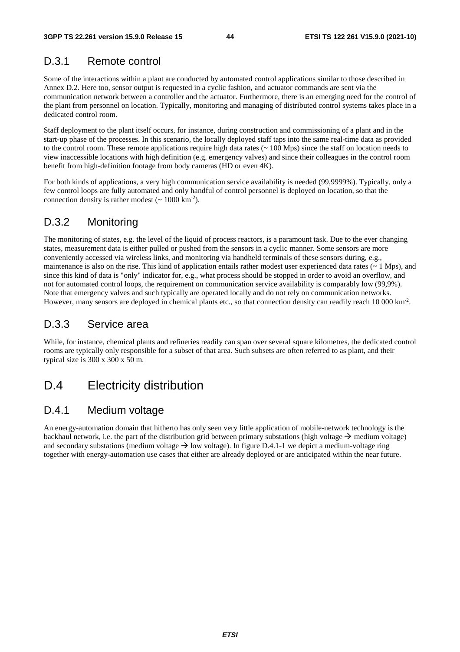### D.3.1 Remote control

Some of the interactions within a plant are conducted by automated control applications similar to those described in Annex D.2. Here too, sensor output is requested in a cyclic fashion, and actuator commands are sent via the communication network between a controller and the actuator. Furthermore, there is an emerging need for the control of the plant from personnel on location. Typically, monitoring and managing of distributed control systems takes place in a dedicated control room.

Staff deployment to the plant itself occurs, for instance, during construction and commissioning of a plant and in the start-up phase of the processes. In this scenario, the locally deployed staff taps into the same real-time data as provided to the control room. These remote applications require high data rates (~ 100 Mps) since the staff on location needs to view inaccessible locations with high definition (e.g. emergency valves) and since their colleagues in the control room benefit from high-definition footage from body cameras (HD or even 4K).

For both kinds of applications, a very high communication service availability is needed (99,9999%). Typically, only a few control loops are fully automated and only handful of control personnel is deployed on location, so that the connection density is rather modest  $({\sim 1000 \text{ km}^{-2}})$ .

### D.3.2 Monitoring

The monitoring of states, e.g. the level of the liquid of process reactors, is a paramount task. Due to the ever changing states, measurement data is either pulled or pushed from the sensors in a cyclic manner. Some sensors are more conveniently accessed via wireless links, and monitoring via handheld terminals of these sensors during, e.g., maintenance is also on the rise. This kind of application entails rather modest user experienced data rates  $(~ 1 \text{ Mps})$ , and since this kind of data is "only" indicator for, e.g., what process should be stopped in order to avoid an overflow, and not for automated control loops, the requirement on communication service availability is comparably low (99,9%). Note that emergency valves and such typically are operated locally and do not rely on communication networks. However, many sensors are deployed in chemical plants etc., so that connection density can readily reach 10 000 km<sup>-2</sup>.

### D.3.3 Service area

While, for instance, chemical plants and refineries readily can span over several square kilometres, the dedicated control rooms are typically only responsible for a subset of that area. Such subsets are often referred to as plant, and their typical size is 300 x 300 x 50 m.

### D.4 Electricity distribution

### D.4.1 Medium voltage

An energy-automation domain that hitherto has only seen very little application of mobile-network technology is the backhaul network, i.e. the part of the distribution grid between primary substations (high voltage  $\rightarrow$  medium voltage) and secondary substations (medium voltage  $\rightarrow$  low voltage). In figure D.4.1-1 we depict a medium-voltage ring together with energy-automation use cases that either are already deployed or are anticipated within the near future.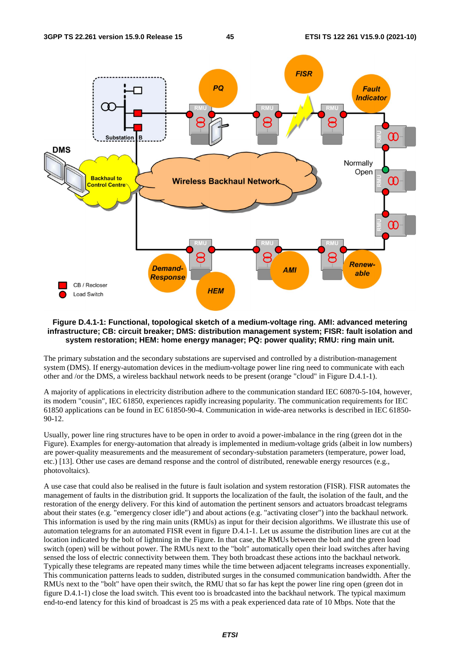

#### **Figure D.4.1-1: Functional, topological sketch of a medium-voltage ring. AMI: advanced metering infrastructure; CB: circuit breaker; DMS: distribution management system; FISR: fault isolation and system restoration; HEM: home energy manager; PQ: power quality; RMU: ring main unit.**

The primary substation and the secondary substations are supervised and controlled by a distribution-management system (DMS). If energy-automation devices in the medium-voltage power line ring need to communicate with each other and /or the DMS, a wireless backhaul network needs to be present (orange "cloud" in Figure D.4.1-1).

A majority of applications in electricity distribution adhere to the communication standard IEC 60870-5-104, however, its modern "cousin", IEC 61850, experiences rapidly increasing popularity. The communication requirements for IEC 61850 applications can be found in EC 61850-90-4. Communication in wide-area networks is described in IEC 61850- 90-12.

Usually, power line ring structures have to be open in order to avoid a power-imbalance in the ring (green dot in the Figure). Examples for energy-automation that already is implemented in medium-voltage grids (albeit in low numbers) are power-quality measurements and the measurement of secondary-substation parameters (temperature, power load, etc.) [13]. Other use cases are demand response and the control of distributed, renewable energy resources (e.g., photovoltaics).

A use case that could also be realised in the future is fault isolation and system restoration (FISR). FISR automates the management of faults in the distribution grid. It supports the localization of the fault, the isolation of the fault, and the restoration of the energy delivery. For this kind of automation the pertinent sensors and actuators broadcast telegrams about their states (e.g. "emergency closer idle") and about actions (e.g. "activating closer") into the backhaul network. This information is used by the ring main units (RMUs) as input for their decision algorithms. We illustrate this use of automation telegrams for an automated FISR event in figure D.4.1-1. Let us assume the distribution lines are cut at the location indicated by the bolt of lightning in the Figure. In that case, the RMUs between the bolt and the green load switch (open) will be without power. The RMUs next to the "bolt" automatically open their load switches after having sensed the loss of electric connectivity between them. They both broadcast these actions into the backhaul network. Typically these telegrams are repeated many times while the time between adjacent telegrams increases exponentially. This communication patterns leads to sudden, distributed surges in the consumed communication bandwidth. After the RMUs next to the "bolt" have open their switch, the RMU that so far has kept the power line ring open (green dot in figure D.4.1-1) close the load switch. This event too is broadcasted into the backhaul network. The typical maximum end-to-end latency for this kind of broadcast is 25 ms with a peak experienced data rate of 10 Mbps. Note that the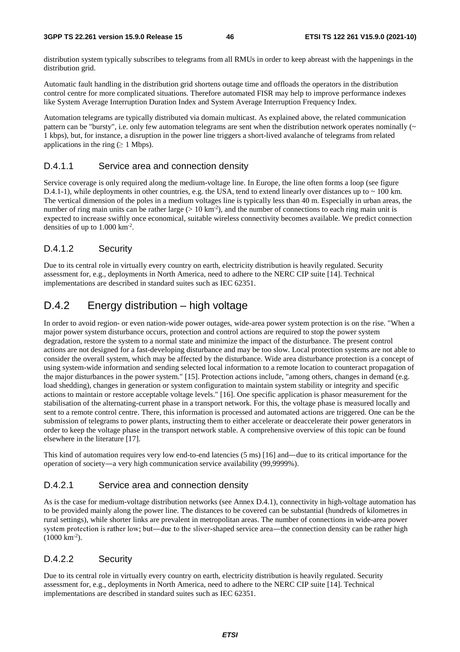distribution system typically subscribes to telegrams from all RMUs in order to keep abreast with the happenings in the distribution grid.

Automatic fault handling in the distribution grid shortens outage time and offloads the operators in the distribution control centre for more complicated situations. Therefore automated FISR may help to improve performance indexes like System Average Interruption Duration Index and System Average Interruption Frequency Index.

Automation telegrams are typically distributed via domain multicast. As explained above, the related communication pattern can be "bursty", i.e. only few automation telegrams are sent when the distribution network operates nominally  $(\sim$ 1 kbps), but, for instance, a disruption in the power line triggers a short-lived avalanche of telegrams from related applications in the ring ( $\geq 1$  Mbps).

#### D.4.1.1 Service area and connection density

Service coverage is only required along the medium-voltage line. In Europe, the line often forms a loop (see figure D.4.1-1), while deployments in other countries, e.g. the USA, tend to extend linearly over distances up to  $\sim$  100 km. The vertical dimension of the poles in a medium voltages line is typically less than 40 m. Especially in urban areas, the number of ring main units can be rather large  $(> 10 \text{ km}^{-2})$ , and the number of connections to each ring main unit is expected to increase swiftly once economical, suitable wireless connectivity becomes available. We predict connection densities of up to  $1.000 \mathrm{km}^2$ .

#### D.4.1.2 Security

Due to its central role in virtually every country on earth, electricity distribution is heavily regulated. Security assessment for, e.g., deployments in North America, need to adhere to the NERC CIP suite [14]. Technical implementations are described in standard suites such as IEC 62351.

### D.4.2 Energy distribution – high voltage

In order to avoid region- or even nation-wide power outages, wide-area power system protection is on the rise. "When a major power system disturbance occurs, protection and control actions are required to stop the power system degradation, restore the system to a normal state and minimize the impact of the disturbance. The present control actions are not designed for a fast-developing disturbance and may be too slow. Local protection systems are not able to consider the overall system, which may be affected by the disturbance. Wide area disturbance protection is a concept of using system-wide information and sending selected local information to a remote location to counteract propagation of the major disturbances in the power system." [15]. Protection actions include, "among others, changes in demand (e.g. load shedding), changes in generation or system configuration to maintain system stability or integrity and specific actions to maintain or restore acceptable voltage levels." [16]. One specific application is phasor measurement for the stabilisation of the alternating-current phase in a transport network. For this, the voltage phase is measured locally and sent to a remote control centre. There, this information is processed and automated actions are triggered. One can be the submission of telegrams to power plants, instructing them to either accelerate or deaccelerate their power generators in order to keep the voltage phase in the transport network stable. A comprehensive overview of this topic can be found elsewhere in the literature [17].

This kind of automation requires very low end-to-end latencies (5 ms) [16] and—due to its critical importance for the operation of society―a very high communication service availability (99,9999%).

#### D.4.2.1 Service area and connection density

As is the case for medium-voltage distribution networks (see Annex D.4.1), connectivity in high-voltage automation has to be provided mainly along the power line. The distances to be covered can be substantial (hundreds of kilometres in rural settings), while shorter links are prevalent in metropolitan areas. The number of connections in wide-area power system protection is rather low; but—due to the sliver-shaped service area—the connection density can be rather high  $(1000 \text{ km}^{-2})$ .

#### D.4.2.2 Security

Due to its central role in virtually every country on earth, electricity distribution is heavily regulated. Security assessment for, e.g., deployments in North America, need to adhere to the NERC CIP suite [14]. Technical implementations are described in standard suites such as IEC 62351.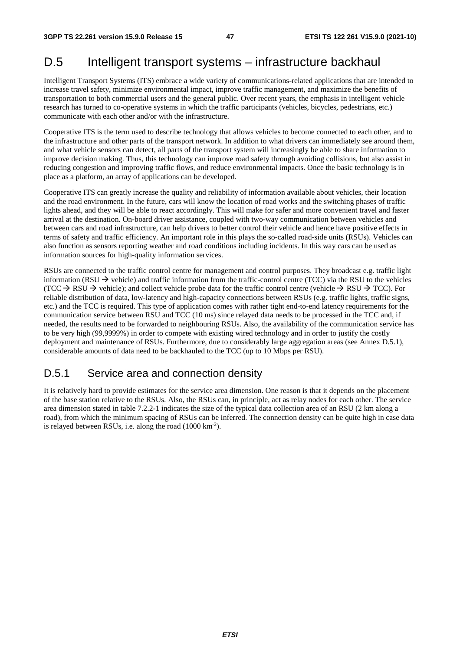## D.5 Intelligent transport systems – infrastructure backhaul

Intelligent Transport Systems (ITS) embrace a wide variety of communications-related applications that are intended to increase travel safety, minimize environmental impact, improve traffic management, and maximize the benefits of transportation to both commercial users and the general public. Over recent years, the emphasis in intelligent vehicle research has turned to co-operative systems in which the traffic participants (vehicles, bicycles, pedestrians, etc.) communicate with each other and/or with the infrastructure.

Cooperative ITS is the term used to describe technology that allows vehicles to become connected to each other, and to the infrastructure and other parts of the transport network. In addition to what drivers can immediately see around them, and what vehicle sensors can detect, all parts of the transport system will increasingly be able to share information to improve decision making. Thus, this technology can improve road safety through avoiding collisions, but also assist in reducing congestion and improving traffic flows, and reduce environmental impacts. Once the basic technology is in place as a platform, an array of applications can be developed.

Cooperative ITS can greatly increase the quality and reliability of information available about vehicles, their location and the road environment. In the future, cars will know the location of road works and the switching phases of traffic lights ahead, and they will be able to react accordingly. This will make for safer and more convenient travel and faster arrival at the destination. On-board driver assistance, coupled with two-way communication between vehicles and between cars and road infrastructure, can help drivers to better control their vehicle and hence have positive effects in terms of safety and traffic efficiency. An important role in this plays the so-called road-side units (RSUs). Vehicles can also function as sensors reporting weather and road conditions including incidents. In this way cars can be used as information sources for high-quality information services.

RSUs are connected to the traffic control centre for management and control purposes. They broadcast e.g. traffic light information (RSU  $\rightarrow$  vehicle) and traffic information from the traffic-control centre (TCC) via the RSU to the vehicles (TCC  $\rightarrow$  RSU  $\rightarrow$  vehicle); and collect vehicle probe data for the traffic control centre (vehicle  $\rightarrow$  RSU  $\rightarrow$  TCC). For reliable distribution of data, low-latency and high-capacity connections between RSUs (e.g. traffic lights, traffic signs, etc.) and the TCC is required. This type of application comes with rather tight end-to-end latency requirements for the communication service between RSU and TCC (10 ms) since relayed data needs to be processed in the TCC and, if needed, the results need to be forwarded to neighbouring RSUs. Also, the availability of the communication service has to be very high (99,9999%) in order to compete with existing wired technology and in order to justify the costly deployment and maintenance of RSUs. Furthermore, due to considerably large aggregation areas (see Annex D.5.1), considerable amounts of data need to be backhauled to the TCC (up to 10 Mbps per RSU).

### D.5.1 Service area and connection density

It is relatively hard to provide estimates for the service area dimension. One reason is that it depends on the placement of the base station relative to the RSUs. Also, the RSUs can, in principle, act as relay nodes for each other. The service area dimension stated in table 7.2.2-1 indicates the size of the typical data collection area of an RSU (2 km along a road), from which the minimum spacing of RSUs can be inferred. The connection density can be quite high in case data is relayed between RSUs, i.e. along the road (1000 km<sup>-2</sup>).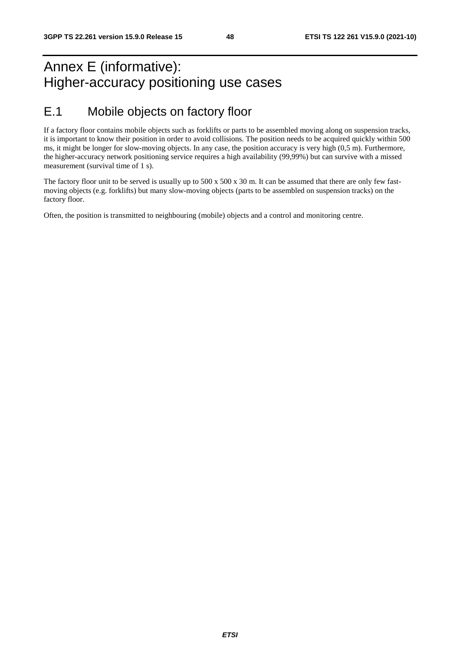## Annex E (informative): Higher-accuracy positioning use cases

## E.1 Mobile objects on factory floor

If a factory floor contains mobile objects such as forklifts or parts to be assembled moving along on suspension tracks, it is important to know their position in order to avoid collisions. The position needs to be acquired quickly within 500 ms, it might be longer for slow-moving objects. In any case, the position accuracy is very high (0,5 m). Furthermore, the higher-accuracy network positioning service requires a high availability (99,99%) but can survive with a missed measurement (survival time of 1 s).

The factory floor unit to be served is usually up to 500 x 500 x 30 m. It can be assumed that there are only few fastmoving objects (e.g. forklifts) but many slow-moving objects (parts to be assembled on suspension tracks) on the factory floor.

Often, the position is transmitted to neighbouring (mobile) objects and a control and monitoring centre.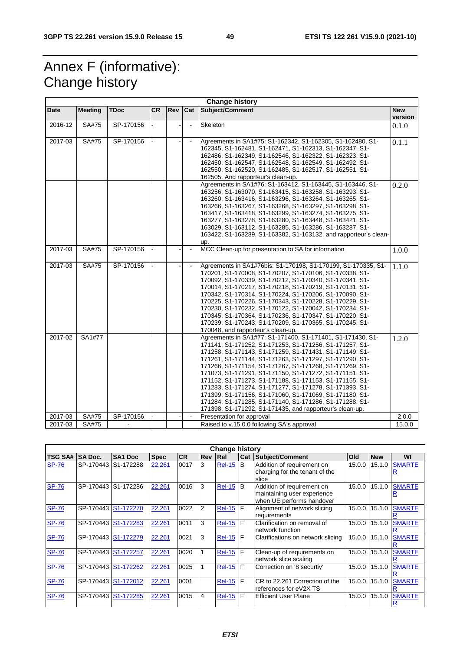## Annex F (informative): Change history

| <b>Change history</b> |                |             |           |     |                |                                                                                                                                                                                                                                                                                                                                                                                                                                                                                                                                                                                                                                                                           |                       |
|-----------------------|----------------|-------------|-----------|-----|----------------|---------------------------------------------------------------------------------------------------------------------------------------------------------------------------------------------------------------------------------------------------------------------------------------------------------------------------------------------------------------------------------------------------------------------------------------------------------------------------------------------------------------------------------------------------------------------------------------------------------------------------------------------------------------------------|-----------------------|
| Date                  | <b>Meeting</b> | <b>TDoc</b> | <b>CR</b> | Rev | Cat            | Subject/Comment                                                                                                                                                                                                                                                                                                                                                                                                                                                                                                                                                                                                                                                           | <b>New</b><br>version |
| 2016-12               | SA#75          | SP-170156   |           |     |                | Skeleton                                                                                                                                                                                                                                                                                                                                                                                                                                                                                                                                                                                                                                                                  | 0.1.0                 |
| 2017-03               | SA#75          | SP-170156   |           |     |                | Agreements in SA1#75: S1-162342, S1-162305, S1-162480, S1-<br>162345, S1-162481, S1-162471, S1-162313, S1-162347, S1-<br>162486, S1-162349, S1-162546, S1-162322, S1-162323, S1-<br>162450, S1-162547, S1-162548, S1-162549, S1-162492, S1-<br>162550, S1-162520, S1-162485, S1-162517, S1-162551, S1-<br>162505. And rapporteur's clean-up.                                                                                                                                                                                                                                                                                                                              | 0.1.1                 |
|                       |                |             |           |     |                | Agreements in SA1#76: S1-163412, S1-163445, S1-163446, S1-<br>163256, S1-163070, S1-163415, S1-163258, S1-163293, S1-<br>163260, S1-163416, S1-163296, S1-163264, S1-163265, S1-<br>163266, S1-163267, S1-163268, S1-163297, S1-163298, S1-<br>163417, S1-163418, S1-163299, S1-163274, S1-163275, S1-<br>163277, S1-163278, S1-163280, S1-163448, S1-163421, S1-<br>163029, S1-163112, S1-163285, S1-163286, S1-163287, S1-<br>163422, S1-163289, S1-163382, S1-163132, and rapporteur's clean-<br>up.                                                                                                                                                                   | 0.2.0                 |
| 2017-03               | SA#75          | SP-170156   |           |     | $\blacksquare$ | MCC Clean-up for presentation to SA for information                                                                                                                                                                                                                                                                                                                                                                                                                                                                                                                                                                                                                       | 1.0.0                 |
| 2017-03               | SA#75          | SP-170156   |           |     | $\blacksquare$ | Agreements in SA1#76bis: S1-170198, S1-170199, S1-170335, S1-<br>170201, S1-170008, S1-170207, S1-170106, S1-170338, S1-<br>170092, S1-170339, S1-170212, S1-170340, S1-170341, S1-<br>170014, S1-170217, S1-170218, S1-170219, S1-170131, S1-<br>170342, S1-170314, S1-170224, S1-170206, S1-170090, S1-<br>170225, S1-170226, S1-170343, S1-170228, S1-170229, S1-<br>170230, S1-170232, S1-170122, S1-170042, S1-170234, S1-<br>170345, S1-170364, S1-170236, S1-170347, S1-170220, S1-<br>170239, S1-170243, S1-170209, S1-170365, S1-170245, S1-<br>170048, and rapporteur's clean-up.                                                                               | 1.1.0                 |
| 2017-02               | SA1#77         |             |           |     |                | Agreements in SA1#77: S1-171400, S1-171401, S1-171430, S1-<br>171141, S1-171252, S1-171253, S1-171256, S1-171257, S1-<br>171258, S1-171143, S1-171259, S1-171431, S1-171149, S1-<br>171261, S1-171144, S1-171263, S1-171297, S1-171290, S1-<br>171266, S1-171154, S1-171267, S1-171268, S1-171269, S1-<br>171073, S1-171291, S1-171150, S1-171272, S1-171151, S1-<br>171152, S1-171273, S1-171188, S1-171153, S1-171155, S1-<br>171283, S1-171274, S1-171277, S1-171278, S1-171393, S1-<br>171399, S1-171156, S1-171060, S1-171069, S1-171180, S1-<br>171284, S1-171285, S1-171140, S1-171286, S1-171288, S1-<br>171398, S1-171292, S1-171435, and rapporteur's clean-up. | 1.2.0                 |
| 2017-03               | SA#75          | SP-170156   |           |     | $\blacksquare$ | Presentation for approval                                                                                                                                                                                                                                                                                                                                                                                                                                                                                                                                                                                                                                                 | 2.0.0                 |
| 2017-03               | SA#75          |             |           |     |                | Raised to v.15.0.0 following SA's approval                                                                                                                                                                                                                                                                                                                                                                                                                                                                                                                                                                                                                                | 15.0.0                |

| <b>Change history</b> |                     |                        |             |           |            |                 |     |                                                                                        |        |            |               |
|-----------------------|---------------------|------------------------|-------------|-----------|------------|-----------------|-----|----------------------------------------------------------------------------------------|--------|------------|---------------|
| <b>TSG SA#</b>        | <b>SA Doc.</b>      | SA <sub>1</sub> Doc    | <b>Spec</b> | <b>CR</b> | <b>Rev</b> | <b>IRel</b>     | Cat | Subject/Comment                                                                        | Old    | <b>New</b> | WI            |
| <b>SP-76</b>          | SP-170443 S1-172288 |                        | 22.261      | 0017      | 3          | <b>Rel-15</b>   | B   | Addition of requirement on<br>charging for the tenant of the<br>slice                  | 15.0.0 | 15.1.0     | <b>SMARTE</b> |
| <b>SP-76</b>          | SP-170443           | S1-172286              | 22.261      | 0016      | 3          | <b>Rel-15</b>   | B   | Addition of requirement on<br>maintaining user experience<br>when UE performs handover | 15.0.0 | 15.1.0     | <b>SMARTE</b> |
| <b>SP-76</b>          | SP-170443 S1-172270 |                        | 22.261      | 0022      | 2          | <b>Rel-15 F</b> |     | Alignment of network slicing<br>requirements                                           | 15.0.0 | 15.1.0     | <b>SMARTE</b> |
| <b>SP-76</b>          | SP-170443           | S1-172283              | 22.261      | 0011      | 3          | <b>Rel-15 F</b> |     | Clarification on removal of<br>network function                                        | 15.0.0 | 15.1.0     | <b>SMARTE</b> |
| <b>SP-76</b>          | SP-170443           | S1-172279              | 22.261      | 0021      | 3          | <b>Rel-15 F</b> |     | Clarifications on network slicing                                                      | 15.0.0 | 15.1.0     | <b>SMARTE</b> |
| <b>SP-76</b>          | SP-170443           | S1-172257              | 22.261      | 0020      |            | <b>Rel-15 F</b> |     | Clean-up of requirements on<br>network slice scaling                                   | 15.0.0 | 15.1.0     | <b>SMARTE</b> |
| <b>SP-76</b>          | SP-170443           | S <sub>1</sub> -172262 | 22.261      | 0025      |            | <b>Rel-15</b>   | F   | Correction on '8 securtiy'                                                             | 15.0.0 | 15.1.0     | <b>SMARTE</b> |
| <b>SP-76</b>          | SP-170443 S1-172012 |                        | 22.261      | 0001      |            | $Rel-15$        | F   | CR to 22.261 Correction of the<br>references for eV2X TS                               | 15.0.0 | 15.1.0     | <b>SMARTE</b> |
| <b>SP-76</b>          | SP-170443           | S1-172285              | 22.261      | 0015      | 4          | $Rel-15$ $F$    |     | <b>Efficient User Plane</b>                                                            | 15.0.0 | 15.1.0     | <b>SMARTE</b> |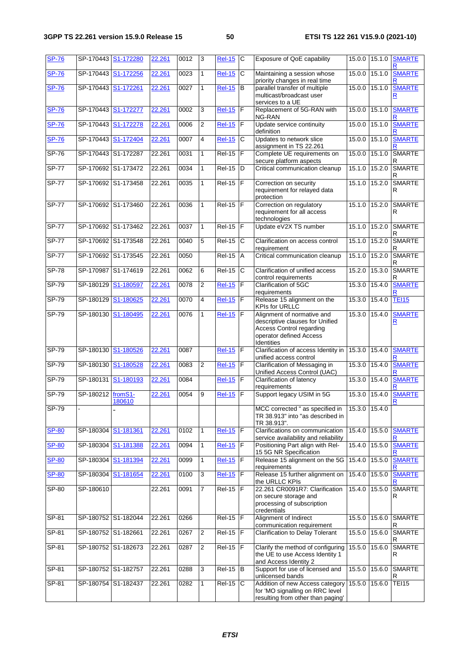| <b>SP-76</b> |                   | SP-170443 S1-172280 | 22.261 | 0012 | 3              | <b>Rel-15</b> | C                     | Exposure of QoE capability                                                                                                                | 15.0.0        | 15.1.0        | <b>SMARTE</b><br>R                       |
|--------------|-------------------|---------------------|--------|------|----------------|---------------|-----------------------|-------------------------------------------------------------------------------------------------------------------------------------------|---------------|---------------|------------------------------------------|
| <b>SP-76</b> | SP-170443         | S1-172256           | 22.261 | 0023 | 1              | <b>Rel-15</b> | C                     | Maintaining a session whose<br>priority changes in real time                                                                              | 15.0.0        | 15.1.0        | <b>SMARTE</b>                            |
| <b>SP-76</b> |                   | SP-170443 S1-172261 | 22.261 | 0027 | $\mathbf{1}$   | <b>Rel-15</b> | B                     | parallel transfer of multiple<br>multicast/broadcast user<br>services to a UE                                                             | 15.0.0        | 15.1.0        | <b>SMARTE</b><br>R                       |
| <b>SP-76</b> | SP-170443         | S1-172277           | 22.261 | 0002 | 3              | <b>Rel-15</b> | F                     | Replacement of 5G-RAN with<br>NG-RAN                                                                                                      | 15.0.0        | 15.1.0        | <b>SMARTE</b><br>R                       |
| <b>SP-76</b> | SP-170443         | S1-172278           | 22.261 | 0006 | $\overline{2}$ | <b>Rel-15</b> | F                     | Update service continuity<br>definition                                                                                                   | 15.0.0        | 15.1.0        | <b>SMARTE</b>                            |
| <b>SP-76</b> | SP-170443         | S1-172404           | 22.261 | 0007 | 4              | <b>Rel-15</b> | C                     | Updates to network slice<br>assignment in TS 22.261                                                                                       | 15.0.0        | 15.1.0        | <b>SMARTE</b>                            |
| $SP-76$      |                   | SP-170443 S1-172287 | 22.261 | 0031 | 1              | $Rel-15$      | $\overline{F}$        | Complete UE requirements on<br>secure platform aspects                                                                                    |               | 15.0.0 15.1.0 | <b>SMARTE</b><br>R                       |
| $SP-77$      |                   | SP-170692 S1-173472 | 22.261 | 0034 | 1              | $Rel-15$      | D                     | Critical communication cleanup                                                                                                            | 15.1.0        | 15.2.0        | <b>SMARTE</b><br>R                       |
| <b>SP-77</b> |                   | SP-170692 S1-173458 | 22.261 | 0035 | 1              | <b>Rel-15</b> | ΙF                    | Correction on security<br>requirement for relayed data<br>protection                                                                      |               | 15.1.0 15.2.0 | <b>SMARTE</b><br>R                       |
| <b>SP-77</b> | SP-170692         | S1-173460           | 22.261 | 0036 | 1              | <b>Rel-15</b> | F                     | Correction on regulatory<br>requirement for all access<br>technologies                                                                    | 15.1.0        | 15.2.0        | <b>SMARTE</b><br>R                       |
| <b>SP-77</b> |                   | SP-170692 S1-173462 | 22.261 | 0037 | 1              | <b>Rel-15</b> | F                     | Update eV2X TS number                                                                                                                     | 15.1.0        | 15.2.0        | SMARTE<br>R                              |
| <b>SP-77</b> | SP-170692         | S1-173548           | 22.261 | 0040 | $\overline{5}$ | $Rel-15$      | $\overline{\text{c}}$ | Clarification on access control<br>requirement                                                                                            | 15.1.0        | 15.2.0        | <b>SMARTE</b><br>R                       |
| <b>SP-77</b> |                   | SP-170692 S1-173545 | 22.261 | 0050 |                | <b>Rel-15</b> | A                     | Critical communication cleanup                                                                                                            | 15.1.0        | 15.2.0        | <b>SMARTE</b><br>R                       |
| $SP-78$      | SP-170987         | S1-174619           | 22.261 | 0062 | 6              | <b>Rel-15</b> | $\overline{c}$        | Clarification of unified access<br>control requirements                                                                                   | 15.2.0        | 15.3.0        | <b>SMARTE</b><br>R                       |
| SP-79        | SP-180129         | S1-180597           | 22.261 | 0078 | $\overline{2}$ | <b>Rel-15</b> | F                     | Clarification of 5GC<br>requirements                                                                                                      | 15.3.0        | 15.4.0        | <b>SMARTE</b>                            |
| $SP-79$      |                   | SP-180129 S1-180625 | 22.261 | 0070 | 4              | <b>Rel-15</b> | E                     | Release 15 alignment on the<br><b>KPIs for URLLC</b>                                                                                      |               | 15.3.0 15.4.0 | <b>TEI15</b>                             |
| $SP-79$      | SP-180130         | S1-180495           | 22.261 | 0076 | 1              | <b>Rel-15</b> | F                     | Alignment of normative and<br>descriptive clauses for Unified<br><b>Access Control regarding</b><br>operator defined Access<br>Identities | 15.3.0        | 15.4.0        | <b>SMARTE</b><br>$\overline{\mathsf{R}}$ |
| SP-79        |                   | SP-180130 S1-180526 | 22.261 | 0087 |                | <b>Rel-15</b> | F                     | Clarification of access Identity in<br>unified access control                                                                             | 15.3.0        | 15.4.0        | <b>SMARTE</b>                            |
| SP-79        |                   | SP-180130 S1-180528 | 22.261 | 0083 | 2              | <b>Rel-15</b> | $\mathsf F$           | Clarification of Messaging in<br>Unified Access Control (UAC)                                                                             |               | 15.3.0 15.4.0 | <b>SMARTE</b><br>R                       |
| $SP-79$      | SP-180131         | S1-180193           | 22.261 | 0084 |                | <b>Rel-15</b> | F                     | Clarification of latency<br>requirements                                                                                                  | 15.3.0        | 15.4.0        | <b>SMARTE</b>                            |
| SP-79        | SP-180212 fromS1- | 180610              | 22.261 | 0054 | 9              | <b>Rel-15</b> | F                     | Support legacy USIM in 5G                                                                                                                 |               | 15.3.0 15.4.0 | <b>SMARTE</b><br><u>ĸ</u>                |
| $SP-79$      |                   |                     |        |      |                |               |                       | MCC corrected " as specified in<br>TR 38.913" into "as described in<br>TR 38.913".                                                        | 15.3.0 15.4.0 |               |                                          |
| <b>SP-80</b> | SP-180304         | S1-181361           | 22.261 | 0102 | $\mathbf{1}$   | <b>Rel-15</b> | $\mathsf F$           | Clarifications on communication<br>service availability and reliability                                                                   |               | 15.4.0 15.5.0 | <b>SMARTE</b>                            |
| <b>SP-80</b> | SP-180304         | S1-181388           | 22.261 | 0094 | 1              | $Rel-15$      | F                     | Positioning Part align with Rel-<br>15 5G NR Specification                                                                                | 15.4.0        | 15.5.0        | <b>SMARTE</b><br>R                       |
| <b>SP-80</b> | SP-180304         | S1-181394           | 22.261 | 0099 | 1              | <b>Rel-15</b> | $\mathsf F$           | Release 15 alignment on the 5G<br>requirements                                                                                            | 15.4.0 15.5.0 |               | <b>SMARTE</b><br>R                       |
| <b>SP-80</b> | SP-180304         | S1-181654           | 22.261 | 0100 | c)             | <b>Rel-15</b> | F                     | Release 15 further alignment on<br>the URLLC KPIs                                                                                         | 15.4.0 15.5.0 |               | <b>SMARTE</b><br>R                       |
| SP-80        | SP-180610         |                     | 22.261 | 0091 | $\overline{7}$ | <b>Rel-15</b> | F                     | 22.261 CR0091R7: Clarification<br>on secure storage and<br>processing of subscription<br>credentials                                      |               | 15.4.0 15.5.0 | <b>SMARTE</b><br>R                       |
| SP-81        |                   | SP-180752 S1-182044 | 22.261 | 0266 |                | $Rel-15$ $F$  |                       | Alignment of Indirect<br>communication requirement                                                                                        |               | 15.5.0 15.6.0 | <b>SMARTE</b><br>R                       |
| SP-81        |                   | SP-180752 S1-182661 | 22.261 | 0267 | $\overline{2}$ | <b>Rel-15</b> | F                     | <b>Clarification to Delay Tolerant</b>                                                                                                    | 15.5.0        | 15.6.0        | SMARTE<br>R                              |
| SP-81        |                   | SP-180752 S1-182673 | 22.261 | 0287 | $\overline{2}$ | $Rel-15$      | F                     | Clarify the method of configuring<br>the UE to use Access Identity 1<br>and Access Identity 2                                             | 15.5.0 15.6.0 |               | <b>SMARTE</b><br>R                       |
| SP-81        |                   | SP-180752 S1-182757 | 22.261 | 0288 | 3              | <b>Rel-15</b> | B                     | Support for use of licensed and<br>unlicensed bands                                                                                       |               | 15.5.0 15.6.0 | <b>SMARTE</b><br>R                       |
| $SP-81$      |                   | SP-180754 S1-182437 | 22.261 | 0282 | $\mathbf{1}$   | <b>Rel-15</b> | $\mathsf{C}$          | Addition of new Access category<br>for 'MO signalling on RRC level<br>resulting from other than paging'                                   | 15.5.0        | 15.6.0        | <b>TEI15</b>                             |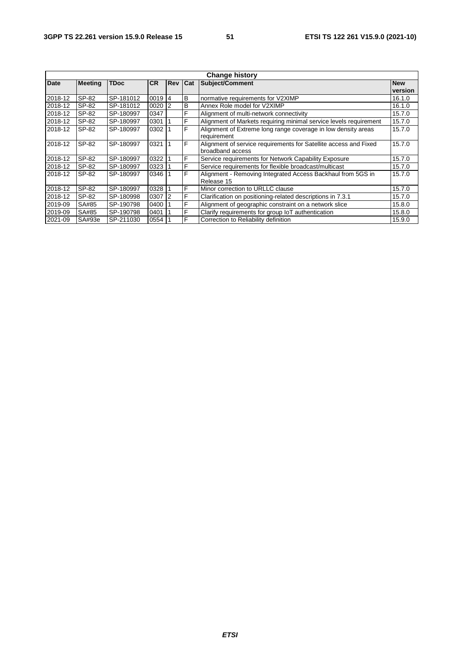| <b>Change history</b> |                |             |           |                |   |                                                                   |         |  |
|-----------------------|----------------|-------------|-----------|----------------|---|-------------------------------------------------------------------|---------|--|
| <b>Date</b>           | <b>Meeting</b> | <b>TDoc</b> | <b>CR</b> | <b>Rev Cat</b> |   | Subject/Comment<br><b>New</b>                                     |         |  |
|                       |                |             |           |                |   |                                                                   | version |  |
| 2018-12               | SP-82          | SP-181012   | 0019      | 4              | В | normative requirements for V2XIMP                                 | 16.1.0  |  |
| 2018-12               | SP-82          | SP-181012   | 0020      | $\overline{2}$ | B | Annex Role model for V2XIMP                                       | 16.1.0  |  |
| 2018-12               | SP-82          | SP-180997   | 0347      |                | F | Alignment of multi-network connectivity                           | 15.7.0  |  |
| 2018-12               | SP-82          | SP-180997   | 0301      |                | F | Alignment of Markets requiring minimal service levels requirement | 15.7.0  |  |
| 2018-12               | SP-82          | SP-180997   | 0302      |                | F | Alignment of Extreme long range coverage in low density areas     | 15.7.0  |  |
|                       |                |             |           |                |   | requirement                                                       |         |  |
| 2018-12               | SP-82          | SP-180997   | 0321      |                | F | Alignment of service requirements for Satellite access and Fixed  | 15.7.0  |  |
|                       |                |             |           |                |   | broadband access                                                  |         |  |
| 2018-12               | SP-82          | SP-180997   | 0322      |                | F | Service requirements for Network Capability Exposure              | 15.7.0  |  |
| 2018-12               | SP-82          | SP-180997   | 0323      |                | F | Service requirements for flexible broadcast/multicast             | 15.7.0  |  |
| 2018-12               | SP-82          | SP-180997   | 0346      |                | F | Alignment - Removing Integrated Access Backhaul from 5GS in       | 15.7.0  |  |
|                       |                |             |           |                |   | Release 15                                                        |         |  |
| 2018-12               | SP-82          | SP-180997   | 0328      |                | F | Minor correction to URLLC clause                                  | 15.7.0  |  |
| 2018-12               | SP-82          | SP-180998   | 0307      | 2              | F | Clarification on positioning-related descriptions in 7.3.1        | 15.7.0  |  |
| 2019-09               | SA#85          | SP-190798   | 0400      |                | F | Alignment of geographic constraint on a network slice             | 15.8.0  |  |
| 2019-09               | SA#85          | SP-190798   | 0401      |                | F | Clarify requirements for group IoT authentication                 | 15.8.0  |  |
| 2021-09               | SA#93e         | SP-211030   | 0554      |                | F | Correction to Reliability definition                              | 15.9.0  |  |